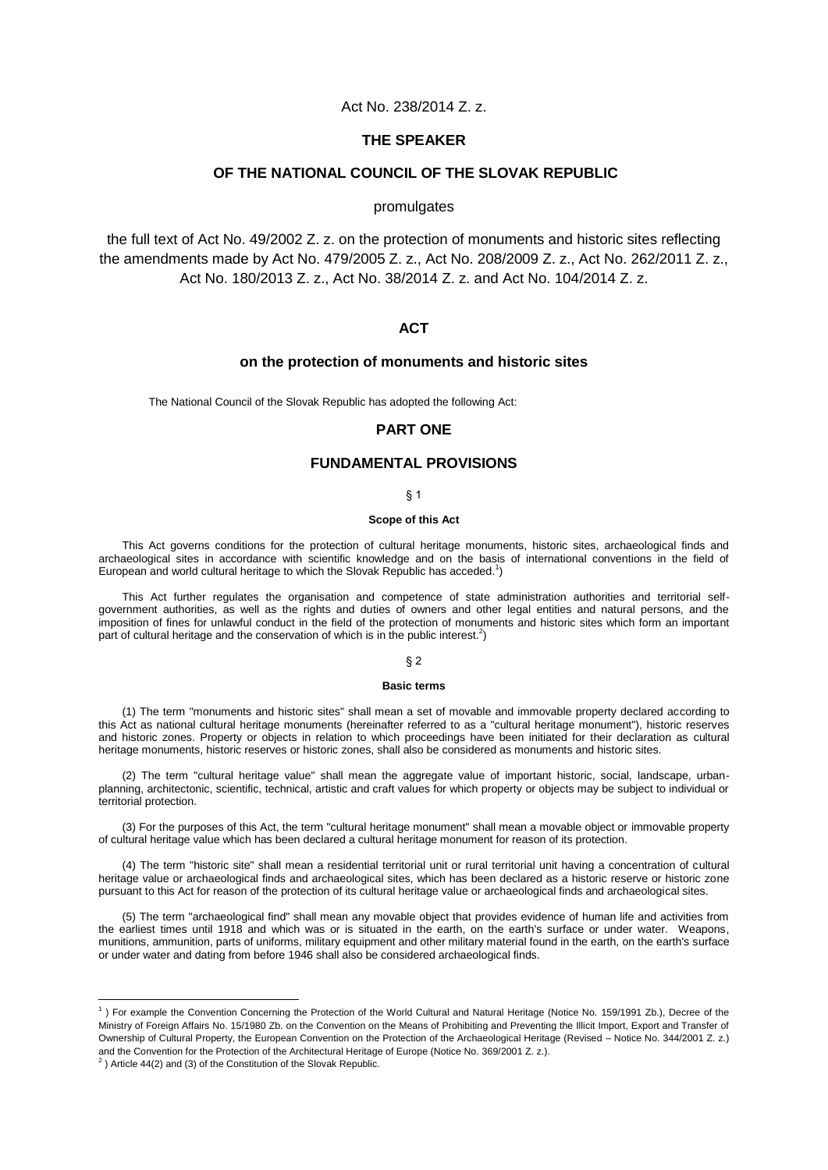# Act No. 238/2014 Z. z.

# **THE SPEAKER**

# **OF THE NATIONAL COUNCIL OF THE SLOVAK REPUBLIC**

# promulgates

the full text of Act No. 49/2002 Z. z. on the protection of monuments and historic sites reflecting the amendments made by Act No. 479/2005 Z. z., Act No. 208/2009 Z. z., Act No. 262/2011 Z. z., Act No. 180/2013 Z. z., Act No. 38/2014 Z. z. and Act No. 104/2014 Z. z.

# **ACT**

# **on the protection of monuments and historic sites**

The National Council of the Slovak Republic has adopted the following Act:

## **PART ONE**

# **FUNDAMENTAL PROVISIONS**

## § 1

#### **Scope of this Act**

This Act governs conditions for the protection of cultural heritage monuments, historic sites, archaeological finds and archaeological sites in accordance with scientific knowledge and on the basis of international conventions in the field of European and world cultural heritage to which the Slovak Republic has acceded.<sup>1</sup>)

This Act further regulates the organisation and competence of state administration authorities and territorial selfgovernment authorities, as well as the rights and duties of owners and other legal entities and natural persons, and the imposition of fines for unlawful conduct in the field of the protection of monuments and historic sites which form an important part of cultural heritage and the conservation of which is in the public interest.<sup>2</sup>)

## § 2

#### **Basic terms**

(1) The term "monuments and historic sites" shall mean a set of movable and immovable property declared according to this Act as national cultural heritage monuments (hereinafter referred to as a "cultural heritage monument"), historic reserves and historic zones. Property or objects in relation to which proceedings have been initiated for their declaration as cultural heritage monuments, historic reserves or historic zones, shall also be considered as monuments and historic sites.

(2) The term "cultural heritage value" shall mean the aggregate value of important historic, social, landscape, urbanplanning, architectonic, scientific, technical, artistic and craft values for which property or objects may be subject to individual or territorial protection.

(3) For the purposes of this Act, the term "cultural heritage monument" shall mean a movable object or immovable property of cultural heritage value which has been declared a cultural heritage monument for reason of its protection.

(4) The term "historic site" shall mean a residential territorial unit or rural territorial unit having a concentration of cultural heritage value or archaeological finds and archaeological sites, which has been declared as a historic reserve or historic zone pursuant to this Act for reason of the protection of its cultural heritage value or archaeological finds and archaeological sites.

(5) The term "archaeological find" shall mean any movable object that provides evidence of human life and activities from the earliest times until 1918 and which was or is situated in the earth, on the earth's surface or under water. Weapons, munitions, ammunition, parts of uniforms, military equipment and other military material found in the earth, on the earth's surface or under water and dating from before 1946 shall also be considered archaeological finds.

 1 ) For example the Convention Concerning the Protection of the World Cultural and Natural Heritage (Notice No. 159/1991 Zb.), Decree of the Ministry of Foreign Affairs No. 15/1980 Zb. on the Convention on the Means of Prohibiting and Preventing the Illicit Import, Export and Transfer of Ownership of Cultural Property, the European Convention on the Protection of the Archaeological Heritage (Revised – Notice No. 344/2001 Z. z.) and the Convention for the Protection of the Architectural Heritage of Europe (Notice No. 369/2001 Z. z.).

 $^{2}$ ) Article 44(2) and (3) of the Constitution of the Slovak Republic.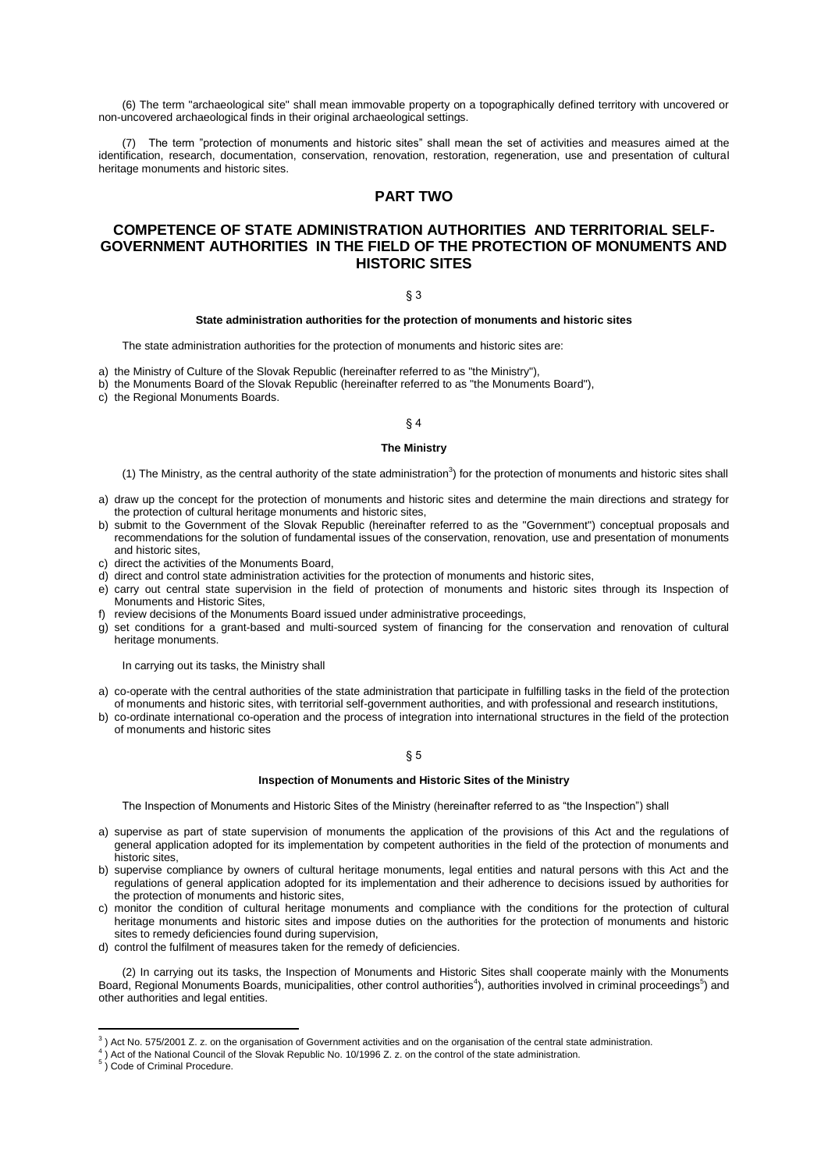(6) The term "archaeological site" shall mean immovable property on a topographically defined territory with uncovered or non-uncovered archaeological finds in their original archaeological settings.

(7) The term "protection of monuments and historic sites" shall mean the set of activities and measures aimed at the identification, research, documentation, conservation, renovation, restoration, regeneration, use and presentation of cultural heritage monuments and historic sites.

# **PART TWO**

# **COMPETENCE OF STATE ADMINISTRATION AUTHORITIES AND TERRITORIAL SELF-GOVERNMENT AUTHORITIES IN THE FIELD OF THE PROTECTION OF MONUMENTS AND HISTORIC SITES**

# § 3

### **State administration authorities for the protection of monuments and historic sites**

The state administration authorities for the protection of monuments and historic sites are:

- a) the Ministry of Culture of the Slovak Republic (hereinafter referred to as "the Ministry"),
- b) the Monuments Board of the Slovak Republic (hereinafter referred to as "the Monuments Board"),
- c) the Regional Monuments Boards.

### § 4

## **The Ministry**

- (1) The Ministry, as the central authority of the state administration<sup>3</sup>) for the protection of monuments and historic sites shall
- a) draw up the concept for the protection of monuments and historic sites and determine the main directions and strategy for the protection of cultural heritage monuments and historic sites,
- b) submit to the Government of the Slovak Republic (hereinafter referred to as the "Government") conceptual proposals and recommendations for the solution of fundamental issues of the conservation, renovation, use and presentation of monuments and historic sites,
- c) direct the activities of the Monuments Board,
- d) direct and control state administration activities for the protection of monuments and historic sites,
- e) carry out central state supervision in the field of protection of monuments and historic sites through its Inspection of Monuments and Historic Sites,
- f) review decisions of the Monuments Board issued under administrative proceedings,
- g) set conditions for a grant-based and multi-sourced system of financing for the conservation and renovation of cultural heritage monuments.

In carrying out its tasks, the Ministry shall

- a) co-operate with the central authorities of the state administration that participate in fulfilling tasks in the field of the protection of monuments and historic sites, with territorial self-government authorities, and with professional and research institutions,
- b) co-ordinate international co-operation and the process of integration into international structures in the field of the protection of monuments and historic sites

## § 5

## **Inspection of Monuments and Historic Sites of the Ministry**

The Inspection of Monuments and Historic Sites of the Ministry (hereinafter referred to as "the Inspection") shall

- a) supervise as part of state supervision of monuments the application of the provisions of this Act and the regulations of general application adopted for its implementation by competent authorities in the field of the protection of monuments and historic sites,
- b) supervise compliance by owners of cultural heritage monuments, legal entities and natural persons with this Act and the regulations of general application adopted for its implementation and their adherence to decisions issued by authorities for the protection of monuments and historic sites,
- c) monitor the condition of cultural heritage monuments and compliance with the conditions for the protection of cultural heritage monuments and historic sites and impose duties on the authorities for the protection of monuments and historic sites to remedy deficiencies found during supervision,
- d) control the fulfilment of measures taken for the remedy of deficiencies.

(2) In carrying out its tasks, the Inspection of Monuments and Historic Sites shall cooperate mainly with the Monuments Board, Regional Monuments Boards, municipalities, other control authorities<sup>4</sup>), authorities involved in criminal proceedings<sup>5</sup>) and other authorities and legal entities.

 3 ) Act No. 575/2001 Z. z. on the organisation of Government activities and on the organisation of the central state administration.

<sup>4</sup> ) Act of the National Council of the Slovak Republic No. 10/1996 Z. z. on the control of the state administration.

<sup>&</sup>lt;sup>5</sup>) Code of Criminal Procedure.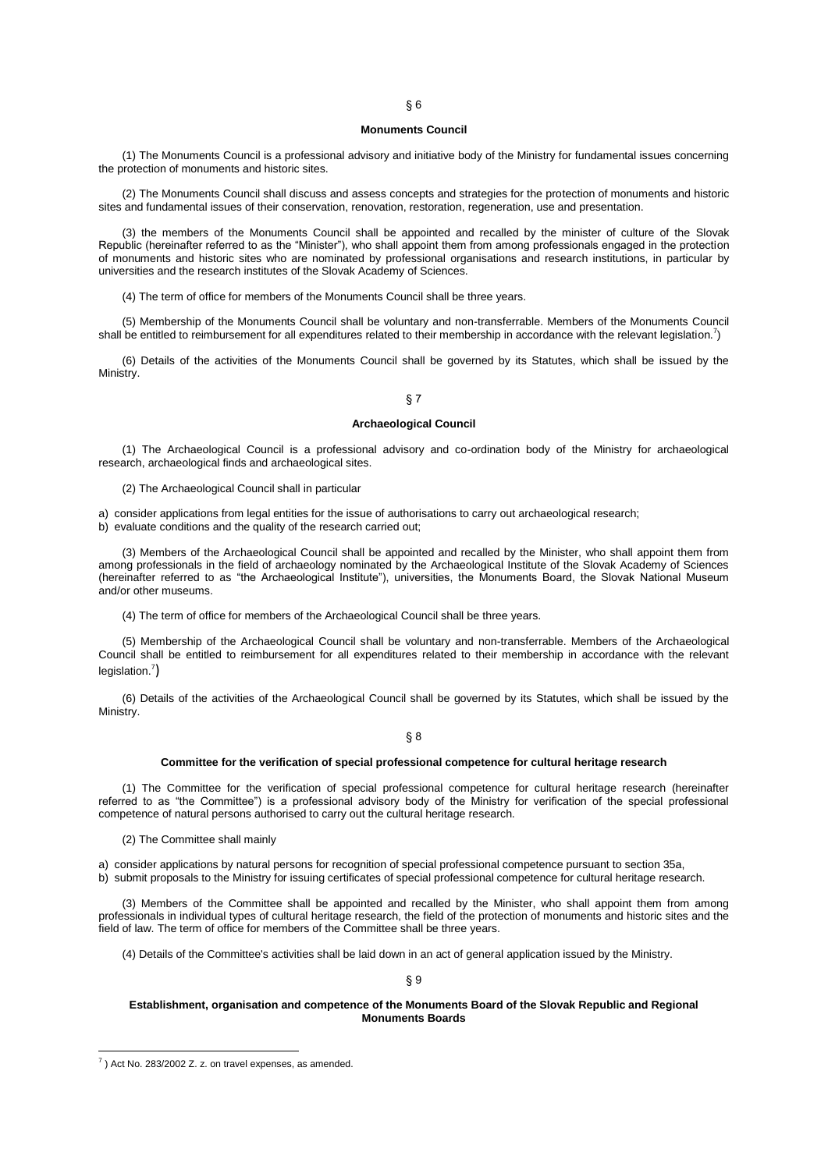#### **Monuments Council**

(1) The Monuments Council is a professional advisory and initiative body of the Ministry for fundamental issues concerning the protection of monuments and historic sites.

(2) The Monuments Council shall discuss and assess concepts and strategies for the protection of monuments and historic sites and fundamental issues of their conservation, renovation, restoration, regeneration, use and presentation.

(3) the members of the Monuments Council shall be appointed and recalled by the minister of culture of the Slovak Republic (hereinafter referred to as the "Minister"), who shall appoint them from among professionals engaged in the protection of monuments and historic sites who are nominated by professional organisations and research institutions, in particular by universities and the research institutes of the Slovak Academy of Sciences.

(4) The term of office for members of the Monuments Council shall be three years.

(5) Membership of the Monuments Council shall be voluntary and non-transferrable. Members of the Monuments Council shall be entitled to reimbursement for all expenditures related to their membership in accordance with the relevant legislation.<sup>7</sup>)

(6) Details of the activities of the Monuments Council shall be governed by its Statutes, which shall be issued by the Ministry.

## § 7

#### **Archaeological Council**

(1) The Archaeological Council is a professional advisory and co-ordination body of the Ministry for archaeological research, archaeological finds and archaeological sites.

(2) The Archaeological Council shall in particular

a) consider applications from legal entities for the issue of authorisations to carry out archaeological research; b) evaluate conditions and the quality of the research carried out;

(3) Members of the Archaeological Council shall be appointed and recalled by the Minister, who shall appoint them from among professionals in the field of archaeology nominated by the Archaeological Institute of the Slovak Academy of Sciences (hereinafter referred to as "the Archaeological Institute"), universities, the Monuments Board, the Slovak National Museum and/or other museums.

(4) The term of office for members of the Archaeological Council shall be three years.

(5) Membership of the Archaeological Council shall be voluntary and non-transferrable. Members of the Archaeological Council shall be entitled to reimbursement for all expenditures related to their membership in accordance with the relevant legislation.<sup>7</sup>)

(6) Details of the activities of the Archaeological Council shall be governed by its Statutes, which shall be issued by the Ministry.

§ 8

#### **Committee for the verification of special professional competence for cultural heritage research**

(1) The Committee for the verification of special professional competence for cultural heritage research (hereinafter referred to as "the Committee") is a professional advisory body of the Ministry for verification of the special professional competence of natural persons authorised to carry out the cultural heritage research.

(2) The Committee shall mainly

a) consider applications by natural persons for recognition of special professional competence pursuant to section 35a, b) submit proposals to the Ministry for issuing certificates of special professional competence for cultural heritage research.

(3) Members of the Committee shall be appointed and recalled by the Minister, who shall appoint them from among professionals in individual types of cultural heritage research, the field of the protection of monuments and historic sites and the field of law. The term of office for members of the Committee shall be three years.

(4) Details of the Committee's activities shall be laid down in an act of general application issued by the Ministry.

## § 9

### **Establishment, organisation and competence of the Monuments Board of the Slovak Republic and Regional Monuments Boards**

 $(7)$  Act No. 283/2002 Z. z. on travel expenses, as amended.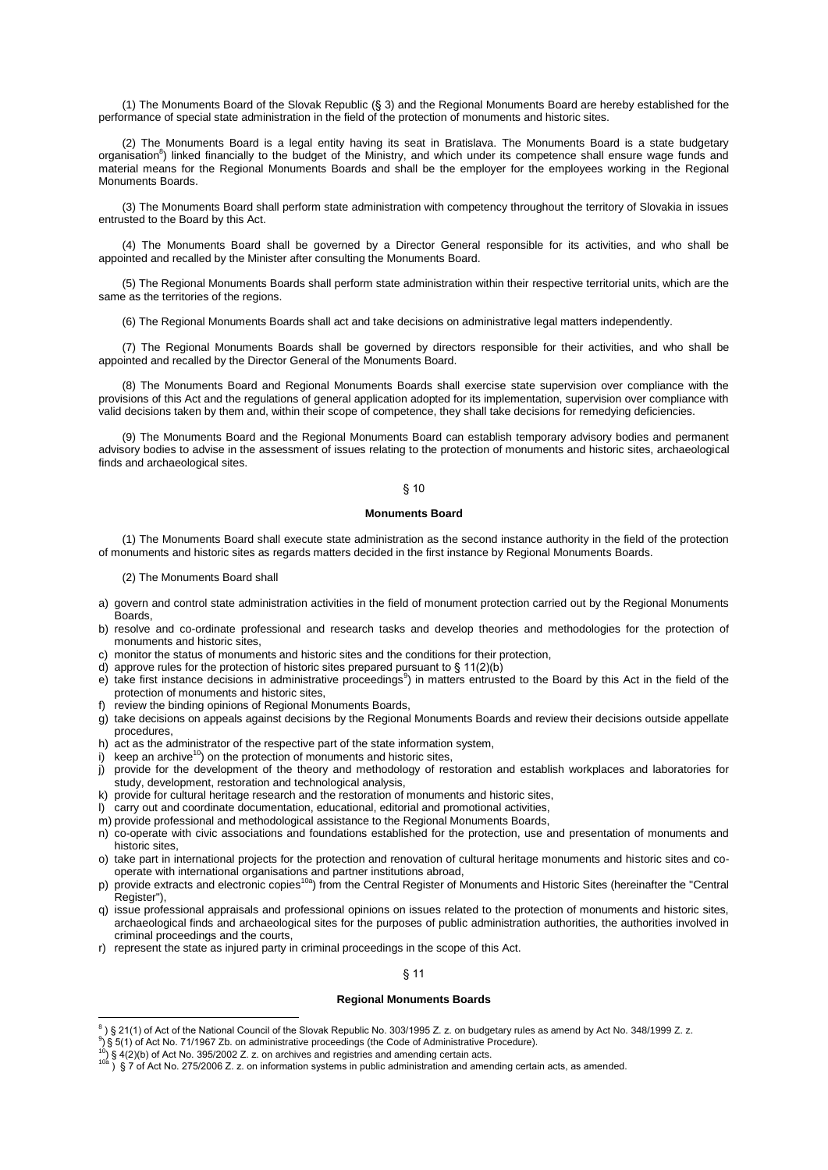(1) The Monuments Board of the Slovak Republic (§ 3) and the Regional Monuments Board are hereby established for the performance of special state administration in the field of the protection of monuments and historic sites.

(2) The Monuments Board is a legal entity having its seat in Bratislava. The Monuments Board is a state budgetary organisation<sup>8</sup>) linked financially to the budget of the Ministry, and which under its competence shall ensure wage funds and material means for the Regional Monuments Boards and shall be the employer for the employees working in the Regional Monuments Boards.

(3) The Monuments Board shall perform state administration with competency throughout the territory of Slovakia in issues entrusted to the Board by this Act.

(4) The Monuments Board shall be governed by a Director General responsible for its activities, and who shall be appointed and recalled by the Minister after consulting the Monuments Board.

(5) The Regional Monuments Boards shall perform state administration within their respective territorial units, which are the same as the territories of the regions.

(6) The Regional Monuments Boards shall act and take decisions on administrative legal matters independently.

(7) The Regional Monuments Boards shall be governed by directors responsible for their activities, and who shall be appointed and recalled by the Director General of the Monuments Board.

(8) The Monuments Board and Regional Monuments Boards shall exercise state supervision over compliance with the provisions of this Act and the regulations of general application adopted for its implementation, supervision over compliance with valid decisions taken by them and, within their scope of competence, they shall take decisions for remedying deficiencies.

(9) The Monuments Board and the Regional Monuments Board can establish temporary advisory bodies and permanent advisory bodies to advise in the assessment of issues relating to the protection of monuments and historic sites, archaeological finds and archaeological sites.

# § 10

## **Monuments Board**

(1) The Monuments Board shall execute state administration as the second instance authority in the field of the protection of monuments and historic sites as regards matters decided in the first instance by Regional Monuments Boards.

(2) The Monuments Board shall

- a) govern and control state administration activities in the field of monument protection carried out by the Regional Monuments Boards,
- b) resolve and co-ordinate professional and research tasks and develop theories and methodologies for the protection of monuments and historic sites,
- c) monitor the status of monuments and historic sites and the conditions for their protection,
- d) approve rules for the protection of historic sites prepared pursuant to § 11(2)(b)
- e) take first instance decisions in administrative proceedings<sup>9</sup>) in matters entrusted to the Board by this Act in the field of the protection of monuments and historic sites,
- f) review the binding opinions of Regional Monuments Boards,
- g) take decisions on appeals against decisions by the Regional Monuments Boards and review their decisions outside appellate procedures,
- h) act as the administrator of the respective part of the state information system,
- i) keep an archive<sup>10</sup>) on the protection of monuments and historic sites,
- j) provide for the development of the theory and methodology of restoration and establish workplaces and laboratories for study, development, restoration and technological analysis,
- k) provide for cultural heritage research and the restoration of monuments and historic sites,
- l) carry out and coordinate documentation, educational, editorial and promotional activities,
- m) provide professional and methodological assistance to the Regional Monuments Boards,
- n) co-operate with civic associations and foundations established for the protection, use and presentation of monuments and historic sites,
- o) take part in international projects for the protection and renovation of cultural heritage monuments and historic sites and cooperate with international organisations and partner institutions abroad,
- p) provide extracts and electronic copies<sup>10a</sup>) from the Central Register of Monuments and Historic Sites (hereinafter the "Central Register").
- q) issue professional appraisals and professional opinions on issues related to the protection of monuments and historic sites, archaeological finds and archaeological sites for the purposes of public administration authorities, the authorities involved in criminal proceedings and the courts,
- r) represent the state as injured party in criminal proceedings in the scope of this Act.

## § 11

## **Regional Monuments Boards**

 $\overline{a}$ 8 ) § 21(1) of Act of the National Council of the Slovak Republic No. 303/1995 Z. z. on budgetary rules as amend by Act No. 348/1999 Z. z.

 $9$ ) § 5(1) of Act No. 71/1967 Zb. on administrative proceedings (the Code of Administrative Procedure).

 $10$ ) § 4(2)(b) of Act No. 395/2002 Z. z. on archives and registries and amending certain acts.

 $10^2$  ) § 7 of Act No. 275/2006 Z. z. on information systems in public administration and amending certain acts, as amended.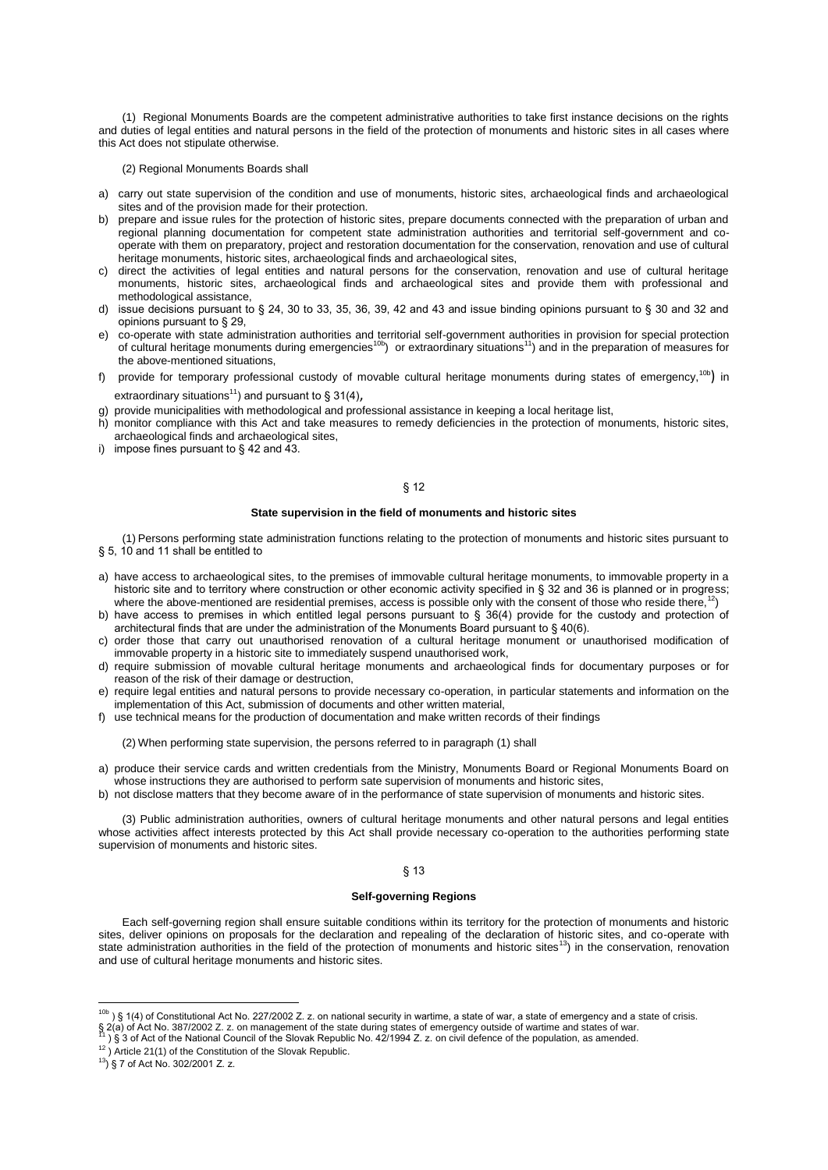(1) Regional Monuments Boards are the competent administrative authorities to take first instance decisions on the rights and duties of legal entities and natural persons in the field of the protection of monuments and historic sites in all cases where this Act does not stipulate otherwise.

#### (2) Regional Monuments Boards shall

- a) carry out state supervision of the condition and use of monuments, historic sites, archaeological finds and archaeological sites and of the provision made for their protection.
- b) prepare and issue rules for the protection of historic sites, prepare documents connected with the preparation of urban and regional planning documentation for competent state administration authorities and territorial self-government and cooperate with them on preparatory, project and restoration documentation for the conservation, renovation and use of cultural heritage monuments, historic sites, archaeological finds and archaeological sites,
- c) direct the activities of legal entities and natural persons for the conservation, renovation and use of cultural heritage monuments, historic sites, archaeological finds and archaeological sites and provide them with professional and methodological assistance,
- d) issue decisions pursuant to § 24, 30 to 33, 35, 36, 39, 42 and 43 and issue binding opinions pursuant to § 30 and 32 and opinions pursuant to § 29,
- e) co-operate with state administration authorities and territorial self-government authorities in provision for special protection of cultural heritage monuments during emergencies<sup>10b</sup>) or extraordinary situations<sup>11</sup>) and in the preparation of measures for the above-mentioned situations,
- f) provide for temporary professional custody of movable cultural heritage monuments during states of emergency,<sup>10b</sup>) in extraordinary situations<sup>11</sup>) and pursuant to  $\S 31(4)$ ,
- g) provide municipalities with methodological and professional assistance in keeping a local heritage list,
- h) monitor compliance with this Act and take measures to remedy deficiencies in the protection of monuments, historic sites, archaeological finds and archaeological sites,
- i) impose fines pursuant to  $\S$  42 and 43.

## § 12

### **State supervision in the field of monuments and historic sites**

(1) Persons performing state administration functions relating to the protection of monuments and historic sites pursuant to § 5, 10 and 11 shall be entitled to

- a) have access to archaeological sites, to the premises of immovable cultural heritage monuments, to immovable property in a historic site and to territory where construction or other economic activity specified in § 32 and 36 is planned or in progress; where the above-mentioned are residential premises, access is possible only with the consent of those who reside there, )
- b) have access to premises in which entitled legal persons pursuant to § 36(4) provide for the custody and protection of architectural finds that are under the administration of the Monuments Board pursuant to § 40(6).
- c) order those that carry out unauthorised renovation of a cultural heritage monument or unauthorised modification of immovable property in a historic site to immediately suspend unauthorised work,
- d) require submission of movable cultural heritage monuments and archaeological finds for documentary purposes or for reason of the risk of their damage or destruction,
- e) require legal entities and natural persons to provide necessary co-operation, in particular statements and information on the implementation of this Act, submission of documents and other written material,
- f) use technical means for the production of documentation and make written records of their findings

(2) When performing state supervision, the persons referred to in paragraph (1) shall

- a) produce their service cards and written credentials from the Ministry, Monuments Board or Regional Monuments Board on whose instructions they are authorised to perform sate supervision of monuments and historic sites,
- b) not disclose matters that they become aware of in the performance of state supervision of monuments and historic sites.

(3) Public administration authorities, owners of cultural heritage monuments and other natural persons and legal entities whose activities affect interests protected by this Act shall provide necessary co-operation to the authorities performing state supervision of monuments and historic sites.

#### § 13

#### **Self-governing Regions**

Each self-governing region shall ensure suitable conditions within its territory for the protection of monuments and historic sites, deliver opinions on proposals for the declaration and repealing of the declaration of historic sites, and co-operate with state administration authorities in the field of the protection of monuments and historic sites<sup>13</sup>) in the conservation, renovation and use of cultural heritage monuments and historic sites.

 $\overline{a}$ 

<sup>&</sup>lt;sup>10b</sup>) § 1(4) of Constitutional Act No. 227/2002 Z. z. on national security in wartime, a state of war, a state of emergency and a state of crisis. § 2(a) of Act No. 387/2002 Z. z. on management of the state during states of emergency outside of wartime and states of war.

<sup>) § 3</sup> of Act of the National Council of the Slovak Republic No. 42/1994 Z. z. on civil defence of the population, as amended.

 $12$ ) Article 21(1) of the Constitution of the Slovak Republic.

 $^{13}$ ) § 7 of Act No. 302/2001 Z. z.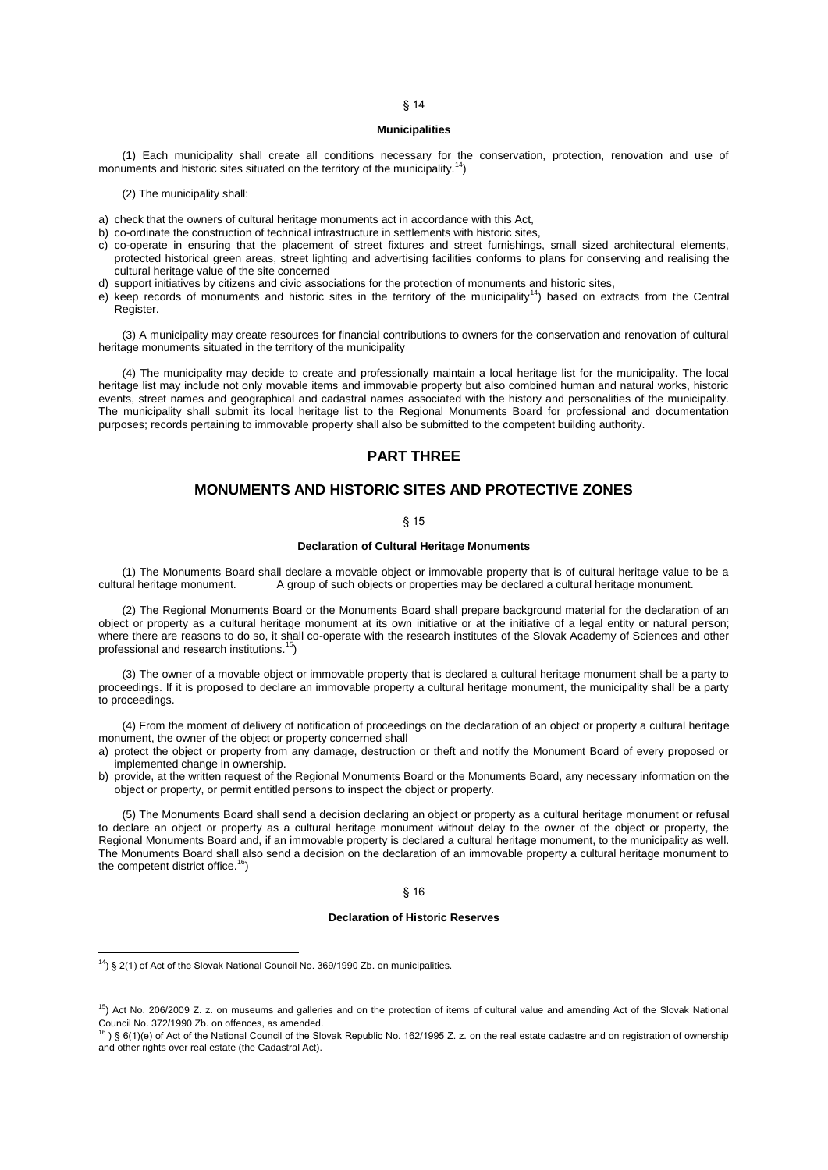#### **Municipalities**

(1) Each municipality shall create all conditions necessary for the conservation, protection, renovation and use of monuments and historic sites situated on the territory of the municipality.<sup>14</sup>)

(2) The municipality shall:

- a) check that the owners of cultural heritage monuments act in accordance with this Act,
- b) co-ordinate the construction of technical infrastructure in settlements with historic sites,
- c) co-operate in ensuring that the placement of street fixtures and street furnishings, small sized architectural elements, protected historical green areas, street lighting and advertising facilities conforms to plans for conserving and realising the cultural heritage value of the site concerned
- d) support initiatives by citizens and civic associations for the protection of monuments and historic sites,
- e) keep records of monuments and historic sites in the territory of the municipality<sup>14</sup>) based on extracts from the Central Register.

(3) A municipality may create resources for financial contributions to owners for the conservation and renovation of cultural heritage monuments situated in the territory of the municipality

(4) The municipality may decide to create and professionally maintain a local heritage list for the municipality. The local heritage list may include not only movable items and immovable property but also combined human and natural works, historic events, street names and geographical and cadastral names associated with the history and personalities of the municipality. The municipality shall submit its local heritage list to the Regional Monuments Board for professional and documentation purposes; records pertaining to immovable property shall also be submitted to the competent building authority.

## **PART THREE**

# **MONUMENTS AND HISTORIC SITES AND PROTECTIVE ZONES**

## § 15

## **Declaration of Cultural Heritage Monuments**

(1) The Monuments Board shall declare a movable object or immovable property that is of cultural heritage value to be a A group of such objects or properties may be declared a cultural heritage monument.

(2) The Regional Monuments Board or the Monuments Board shall prepare background material for the declaration of an object or property as a cultural heritage monument at its own initiative or at the initiative of a legal entity or natural person; where there are reasons to do so, it shall co-operate with the research institutes of the Slovak Academy of Sciences and other professional and research institutions.<sup>15</sup>)

(3) The owner of a movable object or immovable property that is declared a cultural heritage monument shall be a party to proceedings. If it is proposed to declare an immovable property a cultural heritage monument, the municipality shall be a party to proceedings.

(4) From the moment of delivery of notification of proceedings on the declaration of an object or property a cultural heritage monument, the owner of the object or property concerned shall

a) protect the object or property from any damage, destruction or theft and notify the Monument Board of every proposed or implemented change in ownership.

b) provide, at the written request of the Regional Monuments Board or the Monuments Board, any necessary information on the object or property, or permit entitled persons to inspect the object or property.

(5) The Monuments Board shall send a decision declaring an object or property as a cultural heritage monument or refusal to declare an object or property as a cultural heritage monument without delay to the owner of the object or property, the Regional Monuments Board and, if an immovable property is declared a cultural heritage monument, to the municipality as well. The Monuments Board shall also send a decision on the declaration of an immovable property a cultural heritage monument to the competent district office.<sup>16</sup>)

#### § 16

#### **Declaration of Historic Reserves**

 $14$ ) § 2(1) of Act of the Slovak National Council No. 369/1990 Zb. on municipalities.

<sup>&</sup>lt;sup>15</sup>) Act No. 206/2009 Z. z. on museums and galleries and on the protection of items of cultural value and amending Act of the Slovak National Council No. 372/1990 Zb. on offences, as amended.<br><sup>16</sup> ) § 6(1)(e) of Act of the National Council of the Slovak Republic No. 162/1995 Z. z. on the real estate cadastre and on registration of ownership

and other rights over real estate (the Cadastral Act).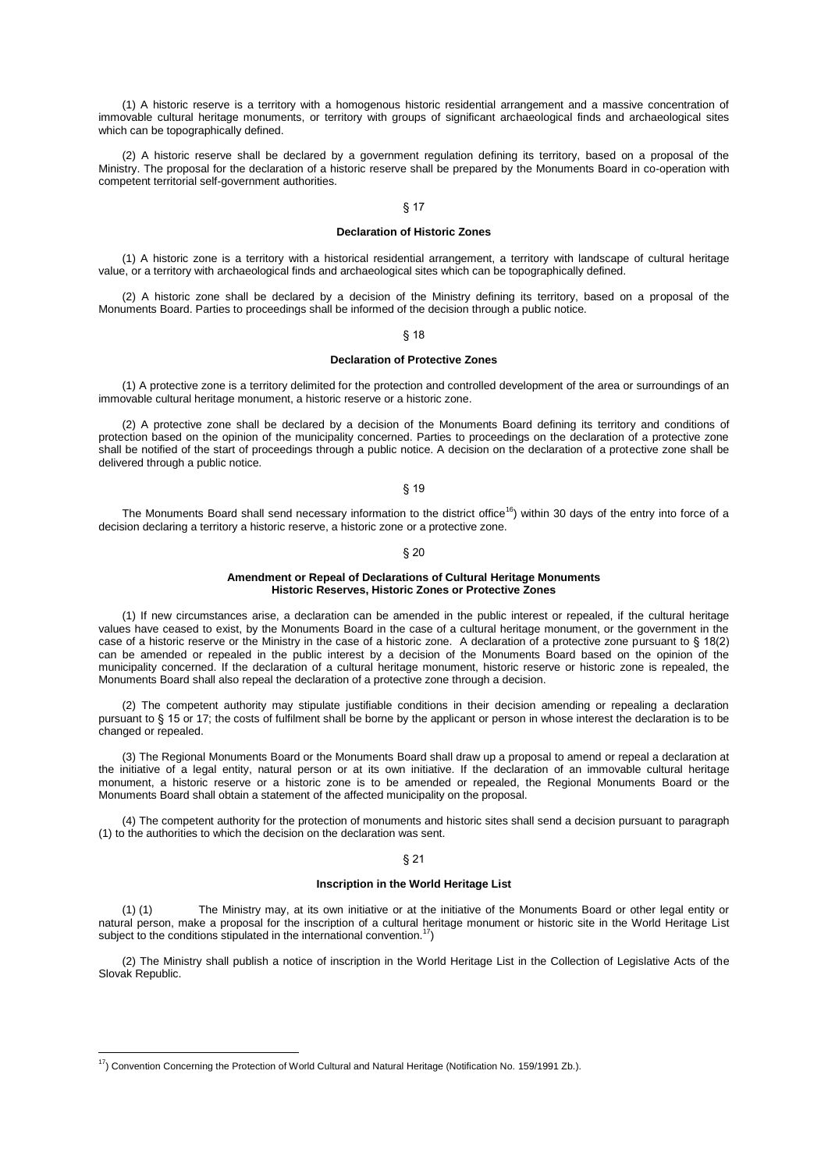(1) A historic reserve is a territory with a homogenous historic residential arrangement and a massive concentration of immovable cultural heritage monuments, or territory with groups of significant archaeological finds and archaeological sites which can be topographically defined.

(2) A historic reserve shall be declared by a government regulation defining its territory, based on a proposal of the Ministry. The proposal for the declaration of a historic reserve shall be prepared by the Monuments Board in co-operation with competent territorial self-government authorities.

## § 17

#### **Declaration of Historic Zones**

(1) A historic zone is a territory with a historical residential arrangement, a territory with landscape of cultural heritage value, or a territory with archaeological finds and archaeological sites which can be topographically defined.

(2) A historic zone shall be declared by a decision of the Ministry defining its territory, based on a proposal of the Monuments Board. Parties to proceedings shall be informed of the decision through a public notice.

§ 18

## **Declaration of Protective Zones**

(1) A protective zone is a territory delimited for the protection and controlled development of the area or surroundings of an immovable cultural heritage monument, a historic reserve or a historic zone.

(2) A protective zone shall be declared by a decision of the Monuments Board defining its territory and conditions of protection based on the opinion of the municipality concerned. Parties to proceedings on the declaration of a protective zone shall be notified of the start of proceedings through a public notice. A decision on the declaration of a protective zone shall be delivered through a public notice.

§ 19

The Monuments Board shall send necessary information to the district office<sup>16</sup>) within 30 days of the entry into force of a decision declaring a territory a historic reserve, a historic zone or a protective zone.

### § 20

### **Amendment or Repeal of Declarations of Cultural Heritage Monuments Historic Reserves, Historic Zones or Protective Zones**

(1) If new circumstances arise, a declaration can be amended in the public interest or repealed, if the cultural heritage values have ceased to exist, by the Monuments Board in the case of a cultural heritage monument, or the government in the case of a historic reserve or the Ministry in the case of a historic zone. A declaration of a protective zone pursuant to § 18(2) can be amended or repealed in the public interest by a decision of the Monuments Board based on the opinion of the municipality concerned. If the declaration of a cultural heritage monument, historic reserve or historic zone is repealed, the Monuments Board shall also repeal the declaration of a protective zone through a decision.

(2) The competent authority may stipulate justifiable conditions in their decision amending or repealing a declaration pursuant to § 15 or 17; the costs of fulfilment shall be borne by the applicant or person in whose interest the declaration is to be changed or repealed.

(3) The Regional Monuments Board or the Monuments Board shall draw up a proposal to amend or repeal a declaration at the initiative of a legal entity, natural person or at its own initiative. If the declaration of an immovable cultural heritage monument, a historic reserve or a historic zone is to be amended or repealed, the Regional Monuments Board or the Monuments Board shall obtain a statement of the affected municipality on the proposal.

(4) The competent authority for the protection of monuments and historic sites shall send a decision pursuant to paragraph (1) to the authorities to which the decision on the declaration was sent.

#### § 21

#### **Inscription in the World Heritage List**

(1) (1) The Ministry may, at its own initiative or at the initiative of the Monuments Board or other legal entity or natural person, make a proposal for the inscription of a cultural heritage monument or historic site in the World Heritage List subject to the conditions stipulated in the international convention.<sup>17</sup>)

(2) The Ministry shall publish a notice of inscription in the World Heritage List in the Collection of Legislative Acts of the Slovak Republic.

 $17$ ) Convention Concerning the Protection of World Cultural and Natural Heritage (Notification No. 159/1991 Zb.).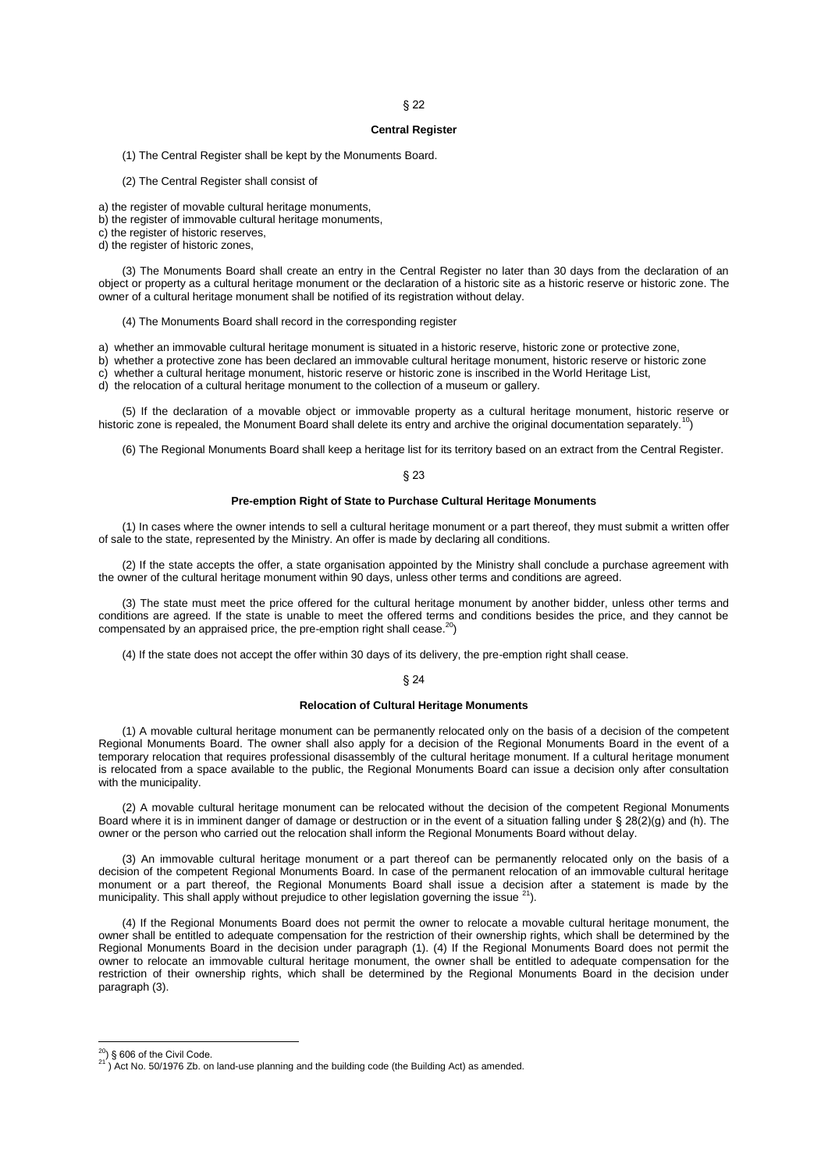## § 22

## **Central Register**

(1) The Central Register shall be kept by the Monuments Board.

(2) The Central Register shall consist of

a) the register of movable cultural heritage monuments,

b) the register of immovable cultural heritage monuments,

c) the register of historic reserves,

d) the register of historic zones,

(3) The Monuments Board shall create an entry in the Central Register no later than 30 days from the declaration of an object or property as a cultural heritage monument or the declaration of a historic site as a historic reserve or historic zone. The owner of a cultural heritage monument shall be notified of its registration without delay.

(4) The Monuments Board shall record in the corresponding register

a) whether an immovable cultural heritage monument is situated in a historic reserve, historic zone or protective zone,

b) whether a protective zone has been declared an immovable cultural heritage monument, historic reserve or historic zone

c) whether a cultural heritage monument, historic reserve or historic zone is inscribed in the World Heritage List,

d) the relocation of a cultural heritage monument to the collection of a museum or gallery.

(5) If the declaration of a movable object or immovable property as a cultural heritage monument, historic reserve or historic zone is repealed, the Monument Board shall delete its entry and archive the original documentation separately.<sup>10</sup>)

(6) The Regional Monuments Board shall keep a heritage list for its territory based on an extract from the Central Register.

#### § 23

#### **Pre-emption Right of State to Purchase Cultural Heritage Monuments**

(1) In cases where the owner intends to sell a cultural heritage monument or a part thereof, they must submit a written offer of sale to the state, represented by the Ministry. An offer is made by declaring all conditions.

(2) If the state accepts the offer, a state organisation appointed by the Ministry shall conclude a purchase agreement with the owner of the cultural heritage monument within 90 days, unless other terms and conditions are agreed.

(3) The state must meet the price offered for the cultural heritage monument by another bidder, unless other terms and conditions are agreed. If the state is unable to meet the offered terms and conditions besides the price, and they cannot be compensated by an appraised price, the pre-emption right shall cease. $^{20}$ )

(4) If the state does not accept the offer within 30 days of its delivery, the pre-emption right shall cease.

## § 24

## **Relocation of Cultural Heritage Monuments**

(1) A movable cultural heritage monument can be permanently relocated only on the basis of a decision of the competent Regional Monuments Board. The owner shall also apply for a decision of the Regional Monuments Board in the event of a temporary relocation that requires professional disassembly of the cultural heritage monument. If a cultural heritage monument is relocated from a space available to the public, the Regional Monuments Board can issue a decision only after consultation with the municipality.

(2) A movable cultural heritage monument can be relocated without the decision of the competent Regional Monuments Board where it is in imminent danger of damage or destruction or in the event of a situation falling under § 28(2)(g) and (h). The owner or the person who carried out the relocation shall inform the Regional Monuments Board without delay.

(3) An immovable cultural heritage monument or a part thereof can be permanently relocated only on the basis of a decision of the competent Regional Monuments Board. In case of the permanent relocation of an immovable cultural heritage monument or a part thereof, the Regional Monuments Board shall issue a decision after a statement is made by the municipality. This shall apply without prejudice to other legislation governing the issue  $^{21}$ ).

(4) If the Regional Monuments Board does not permit the owner to relocate a movable cultural heritage monument, the owner shall be entitled to adequate compensation for the restriction of their ownership rights, which shall be determined by the Regional Monuments Board in the decision under paragraph (1). (4) If the Regional Monuments Board does not permit the owner to relocate an immovable cultural heritage monument, the owner shall be entitled to adequate compensation for the restriction of their ownership rights, which shall be determined by the Regional Monuments Board in the decision under paragraph (3).

<sup>) § 606</sup> of the Civil Code.

 $21^2$ ) Act No. 50/1976 Zb. on land-use planning and the building code (the Building Act) as amended.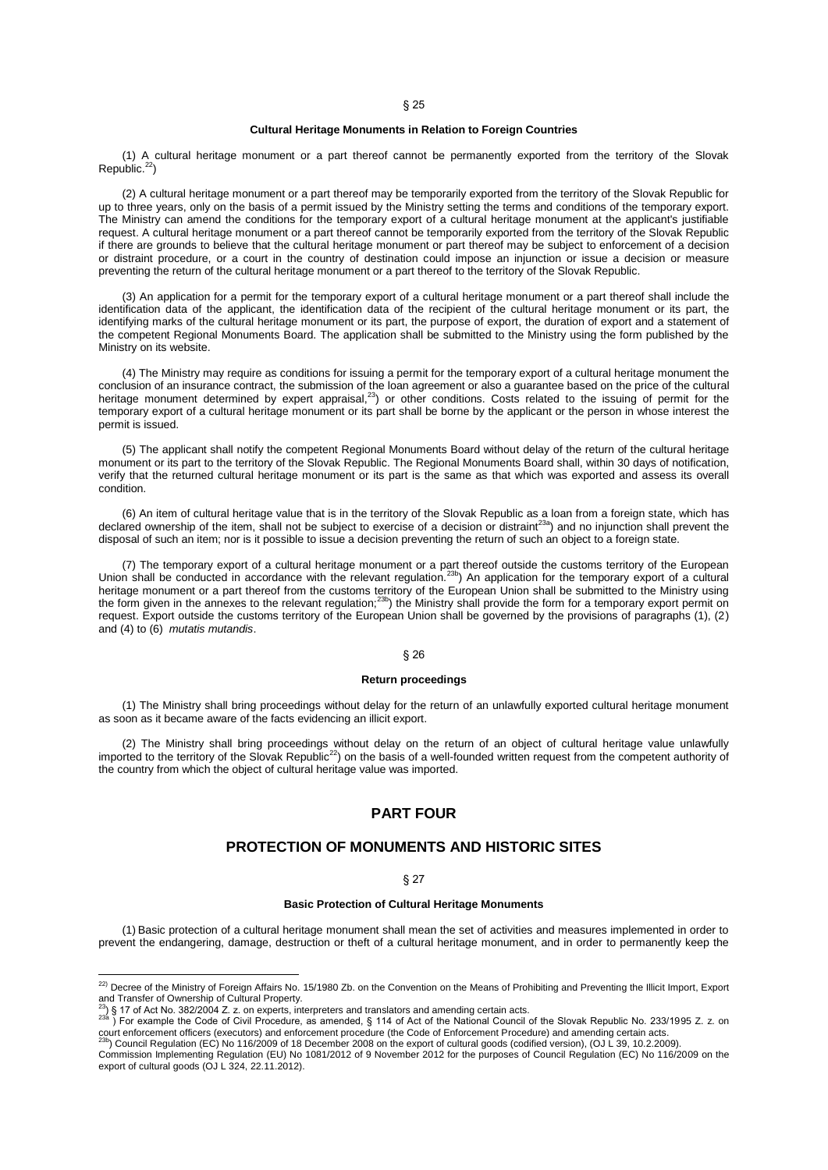## **Cultural Heritage Monuments in Relation to Foreign Countries**

(1) A cultural heritage monument or a part thereof cannot be permanently exported from the territory of the Slovak Republic.<sup>22</sup>)

(2) A cultural heritage monument or a part thereof may be temporarily exported from the territory of the Slovak Republic for up to three years, only on the basis of a permit issued by the Ministry setting the terms and conditions of the temporary export. The Ministry can amend the conditions for the temporary export of a cultural heritage monument at the applicant's justifiable request. A cultural heritage monument or a part thereof cannot be temporarily exported from the territory of the Slovak Republic if there are grounds to believe that the cultural heritage monument or part thereof may be subject to enforcement of a decision or distraint procedure, or a court in the country of destination could impose an injunction or issue a decision or measure preventing the return of the cultural heritage monument or a part thereof to the territory of the Slovak Republic.

(3) An application for a permit for the temporary export of a cultural heritage monument or a part thereof shall include the identification data of the applicant, the identification data of the recipient of the cultural heritage monument or its part, the identifying marks of the cultural heritage monument or its part, the purpose of export, the duration of export and a statement of the competent Regional Monuments Board. The application shall be submitted to the Ministry using the form published by the Ministry on its website.

(4) The Ministry may require as conditions for issuing a permit for the temporary export of a cultural heritage monument the conclusion of an insurance contract, the submission of the loan agreement or also a guarantee based on the price of the cultural heritage monument determined by expert appraisal,<sup>23</sup>) or other conditions. Costs related to the issuing of permit for the temporary export of a cultural heritage monument or its part shall be borne by the applicant or the person in whose interest the permit is issued.

(5) The applicant shall notify the competent Regional Monuments Board without delay of the return of the cultural heritage monument or its part to the territory of the Slovak Republic. The Regional Monuments Board shall, within 30 days of notification, verify that the returned cultural heritage monument or its part is the same as that which was exported and assess its overall condition.

(6) An item of cultural heritage value that is in the territory of the Slovak Republic as a loan from a foreign state, which has declared ownership of the item, shall not be subject to exercise of a decision or distraint<sup>23a</sup>) and no injunction shall prevent the disposal of such an item; nor is it possible to issue a decision preventing the return of such an object to a foreign state.

(7) The temporary export of a cultural heritage monument or a part thereof outside the customs territory of the European<br>Union shall be conducted in accordance with the relevant regulation.<sup>23b</sup>) An application for the tem heritage monument or a part thereof from the customs territory of the European Union shall be submitted to the Ministry using the form given in the annexes to the relevant regulation;<sup>23b</sup>) the Ministry shall provide the form for a temporary export permit on request. Export outside the customs territory of the European Union shall be governed by the provisions of paragraphs (1), (2) and (4) to (6) *mutatis mutandis*.

### § 26

## **Return proceedings**

(1) The Ministry shall bring proceedings without delay for the return of an unlawfully exported cultural heritage monument as soon as it became aware of the facts evidencing an illicit export.

(2) The Ministry shall bring proceedings without delay on the return of an object of cultural heritage value unlawfully<br>imported to the territory of the Slovak Republic<sup>22</sup>) on the basis of a well-founded written request f the country from which the object of cultural heritage value was imported.

# **PART FOUR**

# **PROTECTION OF MONUMENTS AND HISTORIC SITES**

## § 27

## **Basic Protection of Cultural Heritage Monuments**

(1) Basic protection of a cultural heritage monument shall mean the set of activities and measures implemented in order to prevent the endangering, damage, destruction or theft of a cultural heritage monument, and in order to permanently keep the

 $\overline{a}$ 

<sup>23a</sup>) For example the Code of Civil Procedure, as amended, § 114 of Act of the National Council of the Slovak Republic No. 233/1995 Z. z. on court enforcement officers (executors) and enforcement procedure (the Code of Enforcement Procedure) and amending certain acts. 23b) Council Regulation (EC) No 116/2009 of 18 December 2008 on the export of cultural goods (codified version), (OJ L 39, 10.2.2009).

<sup>&</sup>lt;sup>22)</sup> Decree of the Ministry of Foreign Affairs No. 15/1980 Zb. on the Convention on the Means of Prohibiting and Preventing the Illicit Import, Export and Transfer of Ownership of Cultural Property.

 $^{23}$ ) § 17 of Act No. 382/2004 Z. z. on experts, interpreters and translators and amending certain acts.

Commission Implementing Regulation (EU) No 1081/2012 of 9 November 2012 for the purposes of Council Regulation (EC) No 116/2009 on the export of cultural goods (OJ L 324, 22.11.2012).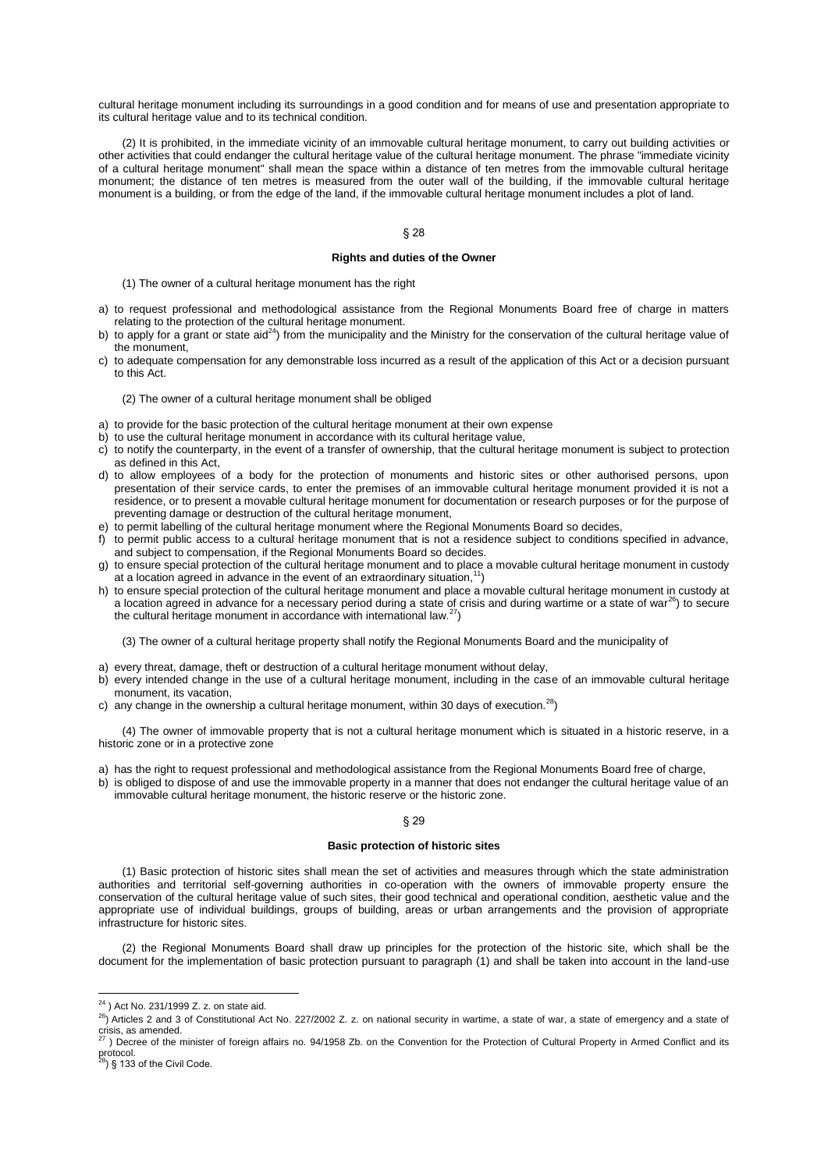cultural heritage monument including its surroundings in a good condition and for means of use and presentation appropriate to its cultural heritage value and to its technical condition.

(2) It is prohibited, in the immediate vicinity of an immovable cultural heritage monument, to carry out building activities or other activities that could endanger the cultural heritage value of the cultural heritage monument. The phrase "immediate vicinity of a cultural heritage monument" shall mean the space within a distance of ten metres from the immovable cultural heritage monument; the distance of ten metres is measured from the outer wall of the building, if the immovable cultural heritage monument is a building, or from the edge of the land, if the immovable cultural heritage monument includes a plot of land.

## § 28

### **Rights and duties of the Owner**

(1) The owner of a cultural heritage monument has the right

- a) to request professional and methodological assistance from the Regional Monuments Board free of charge in matters relating to the protection of the cultural heritage monument.
- b) to apply for a grant or state aid<sup>24</sup>) from the municipality and the Ministry for the conservation of the cultural heritage value of the monument,
- c) to adequate compensation for any demonstrable loss incurred as a result of the application of this Act or a decision pursuant to this Act.

### (2) The owner of a cultural heritage monument shall be obliged

- a) to provide for the basic protection of the cultural heritage monument at their own expense
- b) to use the cultural heritage monument in accordance with its cultural heritage value,
- c) to notify the counterparty, in the event of a transfer of ownership, that the cultural heritage monument is subject to protection as defined in this Act,
- d) to allow employees of a body for the protection of monuments and historic sites or other authorised persons, upon presentation of their service cards, to enter the premises of an immovable cultural heritage monument provided it is not a residence, or to present a movable cultural heritage monument for documentation or research purposes or for the purpose of preventing damage or destruction of the cultural heritage monument,
- e) to permit labelling of the cultural heritage monument where the Regional Monuments Board so decides,
- f) to permit public access to a cultural heritage monument that is not a residence subject to conditions specified in advance, and subject to compensation, if the Regional Monuments Board so decides.
- g) to ensure special protection of the cultural heritage monument and to place a movable cultural heritage monument in custody at a location agreed in advance in the event of an extraordinary situation,<sup>11</sup>)
- h) to ensure special protection of the cultural heritage monument and place a movable cultural heritage monument in custody at a location agreed in advance for a necessary period during a state of crisis and during wartime or a state of war<sup>26</sup>) to secure the cultural heritage monument in accordance with international law. $27$ )

(3) The owner of a cultural heritage property shall notify the Regional Monuments Board and the municipality of

- a) every threat, damage, theft or destruction of a cultural heritage monument without delay,
- b) every intended change in the use of a cultural heritage monument, including in the case of an immovable cultural heritage monument, its vacation,
- c) any change in the ownership a cultural heritage monument, within 30 days of execution.<sup>28</sup>)

(4) The owner of immovable property that is not a cultural heritage monument which is situated in a historic reserve, in a historic zone or in a protective zone

- a) has the right to request professional and methodological assistance from the Regional Monuments Board free of charge,
- b) is obliged to dispose of and use the immovable property in a manner that does not endanger the cultural heritage value of an immovable cultural heritage monument, the historic reserve or the historic zone.

#### § 29

#### **Basic protection of historic sites**

(1) Basic protection of historic sites shall mean the set of activities and measures through which the state administration authorities and territorial self-governing authorities in co-operation with the owners of immovable property ensure the conservation of the cultural heritage value of such sites, their good technical and operational condition, aesthetic value and the appropriate use of individual buildings, groups of building, areas or urban arrangements and the provision of appropriate infrastructure for historic sites.

(2) the Regional Monuments Board shall draw up principles for the protection of the historic site, which shall be the document for the implementation of basic protection pursuant to paragraph (1) and shall be taken into account in the land-use

 $\overline{a}$ 

 $^{24}$ ) Act No. 231/1999 Z. z. on state aid.

<sup>26</sup>) Articles 2 and 3 of Constitutional Act No. 227/2002 Z. z. on national security in wartime, a state of war, a state of emergency and a state of crisis, as amended.<br><sup>27</sup> ) Decree of the minister of foreign affairs no. 94/1958 Zb. on the Convention for the Protection of Cultural Property in Armed Conflict and its

protocol.<br><sup>28</sup>) § 133 of the Civil Code.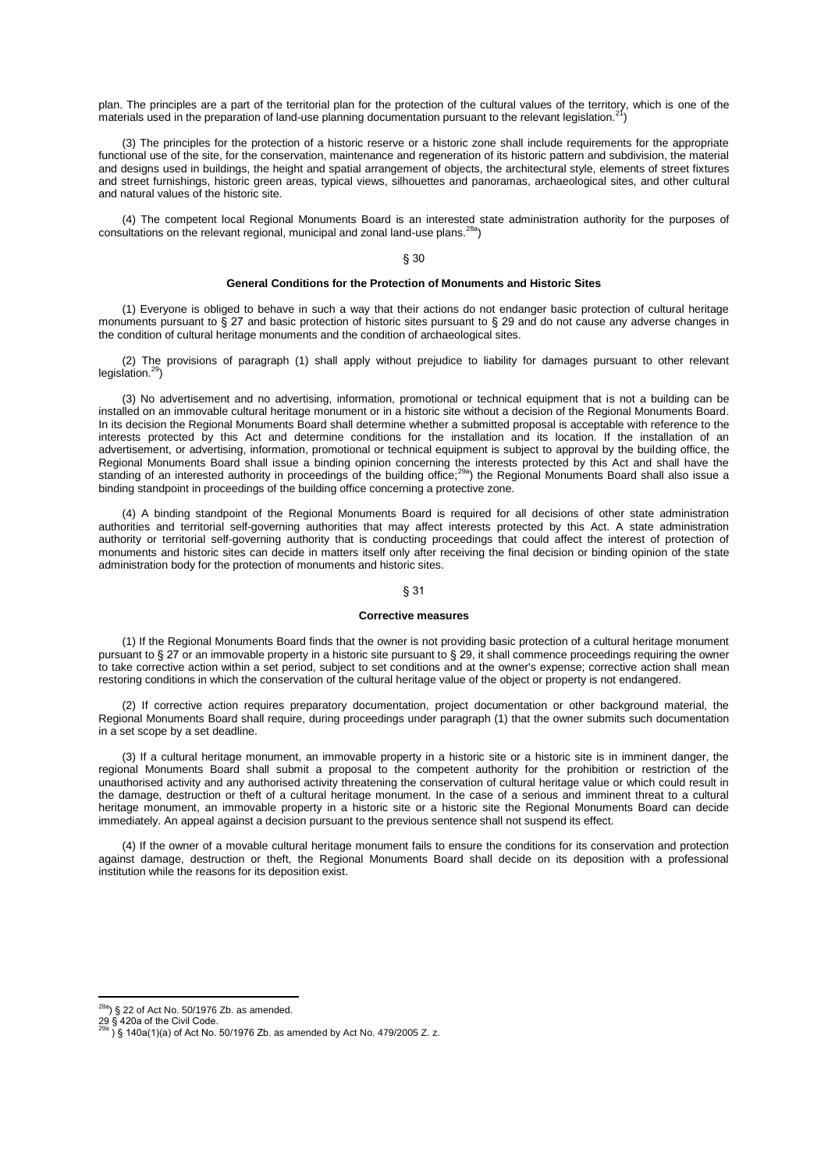plan. The principles are a part of the territorial plan for the protection of the cultural values of the territory, which is one of the materials used in the preparation of land-use planning documentation pursuant to the relevant legislation.<sup>2</sup>

(3) The principles for the protection of a historic reserve or a historic zone shall include requirements for the appropriate functional use of the site, for the conservation, maintenance and regeneration of its historic pattern and subdivision, the material and designs used in buildings, the height and spatial arrangement of objects, the architectural style, elements of street fixtures and street furnishings, historic green areas, typical views, silhouettes and panoramas, archaeological sites, and other cultural and natural values of the historic site.

(4) The competent local Regional Monuments Board is an interested state administration authority for the purposes of consultations on the relevant regional, municipal and zonal land-use plans.28a)

# § 30

#### **General Conditions for the Protection of Monuments and Historic Sites**

(1) Everyone is obliged to behave in such a way that their actions do not endanger basic protection of cultural heritage monuments pursuant to § 27 and basic protection of historic sites pursuant to § 29 and do not cause any adverse changes in the condition of cultural heritage monuments and the condition of archaeological sites.

(2) The provisions of paragraph (1) shall apply without prejudice to liability for damages pursuant to other relevant legislation.<sup>29</sup>)

(3) No advertisement and no advertising, information, promotional or technical equipment that is not a building can be installed on an immovable cultural heritage monument or in a historic site without a decision of the Regional Monuments Board. In its decision the Regional Monuments Board shall determine whether a submitted proposal is acceptable with reference to the interests protected by this Act and determine conditions for the installation and its location. If the installation of an advertisement, or advertising, information, promotional or technical equipment is subject to approval by the building office, the Regional Monuments Board shall issue a binding opinion concerning the interests protected by this Act and shall have the<br>standing of an interested authority in proceedings of the building office;<sup>29a</sup>) the Regional Monumen binding standpoint in proceedings of the building office concerning a protective zone.

(4) A binding standpoint of the Regional Monuments Board is required for all decisions of other state administration authorities and territorial self-governing authorities that may affect interests protected by this Act. A state administration authority or territorial self-governing authority that is conducting proceedings that could affect the interest of protection of monuments and historic sites can decide in matters itself only after receiving the final decision or binding opinion of the state administration body for the protection of monuments and historic sites.

#### § 31

## **Corrective measures**

(1) If the Regional Monuments Board finds that the owner is not providing basic protection of a cultural heritage monument pursuant to § 27 or an immovable property in a historic site pursuant to § 29, it shall commence proceedings requiring the owner to take corrective action within a set period, subject to set conditions and at the owner's expense; corrective action shall mean restoring conditions in which the conservation of the cultural heritage value of the object or property is not endangered.

(2) If corrective action requires preparatory documentation, project documentation or other background material, the Regional Monuments Board shall require, during proceedings under paragraph (1) that the owner submits such documentation in a set scope by a set deadline.

(3) If a cultural heritage monument, an immovable property in a historic site or a historic site is in imminent danger, the regional Monuments Board shall submit a proposal to the competent authority for the prohibition or restriction of the unauthorised activity and any authorised activity threatening the conservation of cultural heritage value or which could result in the damage, destruction or theft of a cultural heritage monument. In the case of a serious and imminent threat to a cultural heritage monument, an immovable property in a historic site or a historic site the Regional Monuments Board can decide immediately. An appeal against a decision pursuant to the previous sentence shall not suspend its effect.

(4) If the owner of a movable cultural heritage monument fails to ensure the conditions for its conservation and protection against damage, destruction or theft, the Regional Monuments Board shall decide on its deposition with a professional institution while the reasons for its deposition exist.

 $^{28a}$ ) § 22 of Act No. 50/1976 Zb. as amended.

<sup>29 § 420</sup>a of the Civil Code.<br><sup>29a</sup> ) § 140a(1)(a) of Act No. 50/1976 Zb. as amended by Act No. 479/2005 Z. z.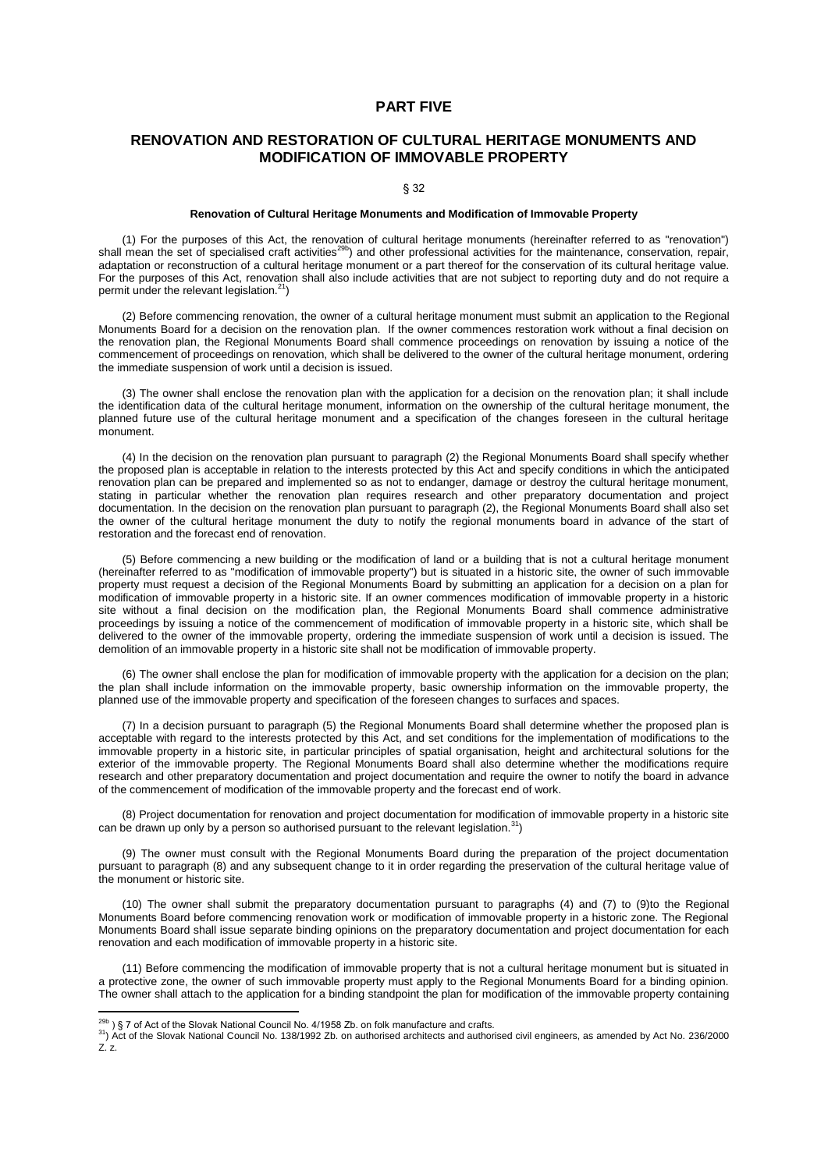## **PART FIVE**

# **RENOVATION AND RESTORATION OF CULTURAL HERITAGE MONUMENTS AND MODIFICATION OF IMMOVABLE PROPERTY**

§ 32

#### **Renovation of Cultural Heritage Monuments and Modification of Immovable Property**

(1) For the purposes of this Act, the renovation of cultural heritage monuments (hereinafter referred to as "renovation") shall mean the set of specialised craft activities<sup>29b</sup>) and other professional activities for the maintenance, conservation, repair, adaptation or reconstruction of a cultural heritage monument or a part thereof for the conservation of its cultural heritage value. For the purposes of this Act, renovation shall also include activities that are not subject to reporting duty and do not require a permit under the relevant legislation. $21$ )

(2) Before commencing renovation, the owner of a cultural heritage monument must submit an application to the Regional Monuments Board for a decision on the renovation plan. If the owner commences restoration work without a final decision on the renovation plan, the Regional Monuments Board shall commence proceedings on renovation by issuing a notice of the commencement of proceedings on renovation, which shall be delivered to the owner of the cultural heritage monument, ordering the immediate suspension of work until a decision is issued.

(3) The owner shall enclose the renovation plan with the application for a decision on the renovation plan; it shall include the identification data of the cultural heritage monument, information on the ownership of the cultural heritage monument, the planned future use of the cultural heritage monument and a specification of the changes foreseen in the cultural heritage monument.

(4) In the decision on the renovation plan pursuant to paragraph (2) the Regional Monuments Board shall specify whether the proposed plan is acceptable in relation to the interests protected by this Act and specify conditions in which the anticipated renovation plan can be prepared and implemented so as not to endanger, damage or destroy the cultural heritage monument, stating in particular whether the renovation plan requires research and other preparatory documentation and project documentation. In the decision on the renovation plan pursuant to paragraph (2), the Regional Monuments Board shall also set the owner of the cultural heritage monument the duty to notify the regional monuments board in advance of the start of restoration and the forecast end of renovation.

(5) Before commencing a new building or the modification of land or a building that is not a cultural heritage monument (hereinafter referred to as "modification of immovable property") but is situated in a historic site, the owner of such immovable property must request a decision of the Regional Monuments Board by submitting an application for a decision on a plan for modification of immovable property in a historic site. If an owner commences modification of immovable property in a historic site without a final decision on the modification plan, the Regional Monuments Board shall commence administrative proceedings by issuing a notice of the commencement of modification of immovable property in a historic site, which shall be delivered to the owner of the immovable property, ordering the immediate suspension of work until a decision is issued. The demolition of an immovable property in a historic site shall not be modification of immovable property.

(6) The owner shall enclose the plan for modification of immovable property with the application for a decision on the plan; the plan shall include information on the immovable property, basic ownership information on the immovable property, the planned use of the immovable property and specification of the foreseen changes to surfaces and spaces.

(7) In a decision pursuant to paragraph (5) the Regional Monuments Board shall determine whether the proposed plan is acceptable with regard to the interests protected by this Act, and set conditions for the implementation of modifications to the immovable property in a historic site, in particular principles of spatial organisation, height and architectural solutions for the exterior of the immovable property. The Regional Monuments Board shall also determine whether the modifications require research and other preparatory documentation and project documentation and require the owner to notify the board in advance of the commencement of modification of the immovable property and the forecast end of work.

(8) Project documentation for renovation and project documentation for modification of immovable property in a historic site can be drawn up only by a person so authorised pursuant to the relevant legislation.<sup>31</sup>)

(9) The owner must consult with the Regional Monuments Board during the preparation of the project documentation pursuant to paragraph (8) and any subsequent change to it in order regarding the preservation of the cultural heritage value of the monument or historic site.

(10) The owner shall submit the preparatory documentation pursuant to paragraphs (4) and (7) to (9)to the Regional Monuments Board before commencing renovation work or modification of immovable property in a historic zone. The Regional Monuments Board shall issue separate binding opinions on the preparatory documentation and project documentation for each renovation and each modification of immovable property in a historic site.

(11) Before commencing the modification of immovable property that is not a cultural heritage monument but is situated in a protective zone, the owner of such immovable property must apply to the Regional Monuments Board for a binding opinion. The owner shall attach to the application for a binding standpoint the plan for modification of the immovable property containing

 $\overline{a}$ 

 $^{29b}$ ) § 7 of Act of the Slovak National Council No. 4/1958 Zb. on folk manufacture and crafts.

<sup>&</sup>lt;sup>31</sup>) Act of the Slovak National Council No. 138/1992 Zb. on authorised architects and authorised civil engineers, as amended by Act No. 236/2000  $Z^{\prime}$  z.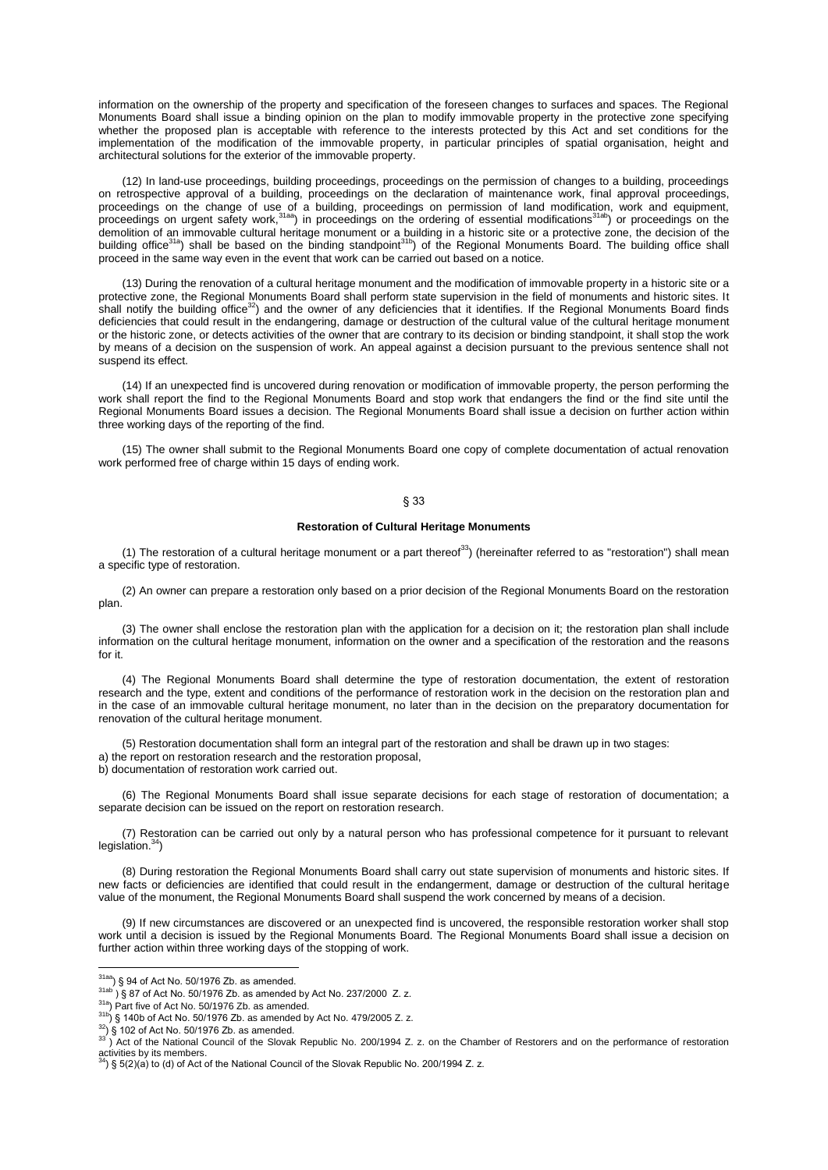information on the ownership of the property and specification of the foreseen changes to surfaces and spaces. The Regional Monuments Board shall issue a binding opinion on the plan to modify immovable property in the protective zone specifying whether the proposed plan is acceptable with reference to the interests protected by this Act and set conditions for the implementation of the modification of the immovable property, in particular principles of spatial organisation, height and architectural solutions for the exterior of the immovable property.

(12) In land-use proceedings, building proceedings, proceedings on the permission of changes to a building, proceedings on retrospective approval of a building, proceedings on the declaration of maintenance work, final approval proceedings, proceedings on the change of use of a building, proceedings on permission of land modification, work and equipment, proceedings on urgent safety work,<sup>31aa</sup>) in proceedings on the ordering of essential modifications<sup>31ab</sup>) or proceedings on the demolition of an immovable cultural heritage monument or a building in a historic site or a protective zone, the decision of the<br>building office<sup>31a</sup>) shall be based on the binding standpoint<sup>31b</sup>) of the Regional Monument proceed in the same way even in the event that work can be carried out based on a notice.

(13) During the renovation of a cultural heritage monument and the modification of immovable property in a historic site or a protective zone, the Regional Monuments Board shall perform state supervision in the field of monuments and historic sites. It shall notify the building office<sup>32</sup>) and the owner of any deficiencies that it identifies. If the Regional Monuments Board finds deficiencies that could result in the endangering, damage or destruction of the cultural value of the cultural heritage monument or the historic zone, or detects activities of the owner that are contrary to its decision or binding standpoint, it shall stop the work by means of a decision on the suspension of work. An appeal against a decision pursuant to the previous sentence shall not suspend its effect.

(14) If an unexpected find is uncovered during renovation or modification of immovable property, the person performing the work shall report the find to the Regional Monuments Board and stop work that endangers the find or the find site until the Regional Monuments Board issues a decision. The Regional Monuments Board shall issue a decision on further action within three working days of the reporting of the find.

(15) The owner shall submit to the Regional Monuments Board one copy of complete documentation of actual renovation work performed free of charge within 15 days of ending work.

## § 33

## **Restoration of Cultural Heritage Monuments**

(1) The restoration of a cultural heritage monument or a part thereof<sup>33</sup>) (hereinafter referred to as "restoration") shall mean a specific type of restoration.

(2) An owner can prepare a restoration only based on a prior decision of the Regional Monuments Board on the restoration plan.

(3) The owner shall enclose the restoration plan with the application for a decision on it; the restoration plan shall include information on the cultural heritage monument, information on the owner and a specification of the restoration and the reasons for it.

(4) The Regional Monuments Board shall determine the type of restoration documentation, the extent of restoration research and the type, extent and conditions of the performance of restoration work in the decision on the restoration plan and in the case of an immovable cultural heritage monument, no later than in the decision on the preparatory documentation for renovation of the cultural heritage monument.

(5) Restoration documentation shall form an integral part of the restoration and shall be drawn up in two stages: a) the report on restoration research and the restoration proposal, b) documentation of restoration work carried out.

(6) The Regional Monuments Board shall issue separate decisions for each stage of restoration of documentation; a separate decision can be issued on the report on restoration research.

(7) Restoration can be carried out only by a natural person who has professional competence for it pursuant to relevant legislation.<sup>34</sup>)

(8) During restoration the Regional Monuments Board shall carry out state supervision of monuments and historic sites. If new facts or deficiencies are identified that could result in the endangerment, damage or destruction of the cultural heritage value of the monument, the Regional Monuments Board shall suspend the work concerned by means of a decision.

(9) If new circumstances are discovered or an unexpected find is uncovered, the responsible restoration worker shall stop work until a decision is issued by the Regional Monuments Board. The Regional Monuments Board shall issue a decision on further action within three working days of the stopping of work.

 $^{31aa}$ ) § 94 of Act No. 50/1976 Zb. as amended.

 $31ab$  ) § 87 of Act No. 50/1976 Zb. as amended by Act No. 237/2000 Z. z.

<sup>&</sup>lt;sup>31a</sup>) Part five of Act No. 50/1976 Zb. as amended.

 $^{31b}$ ) § 140b of Act No. 50/1976 Zb. as amended by Act No. 479/2005 Z. z.

 $32$ ) § 102 of Act No. 50/1976 Zb. as amended.

 $33$ ) Act of the National Council of the Slovak Republic No. 200/1994 Z. z. on the Chamber of Restorers and on the performance of restoration activities by its members.<br><sup>34</sup>) § 5(2)(a) to (d) of Act of the National Council of the Slovak Republic No. 200/1994 Z. z.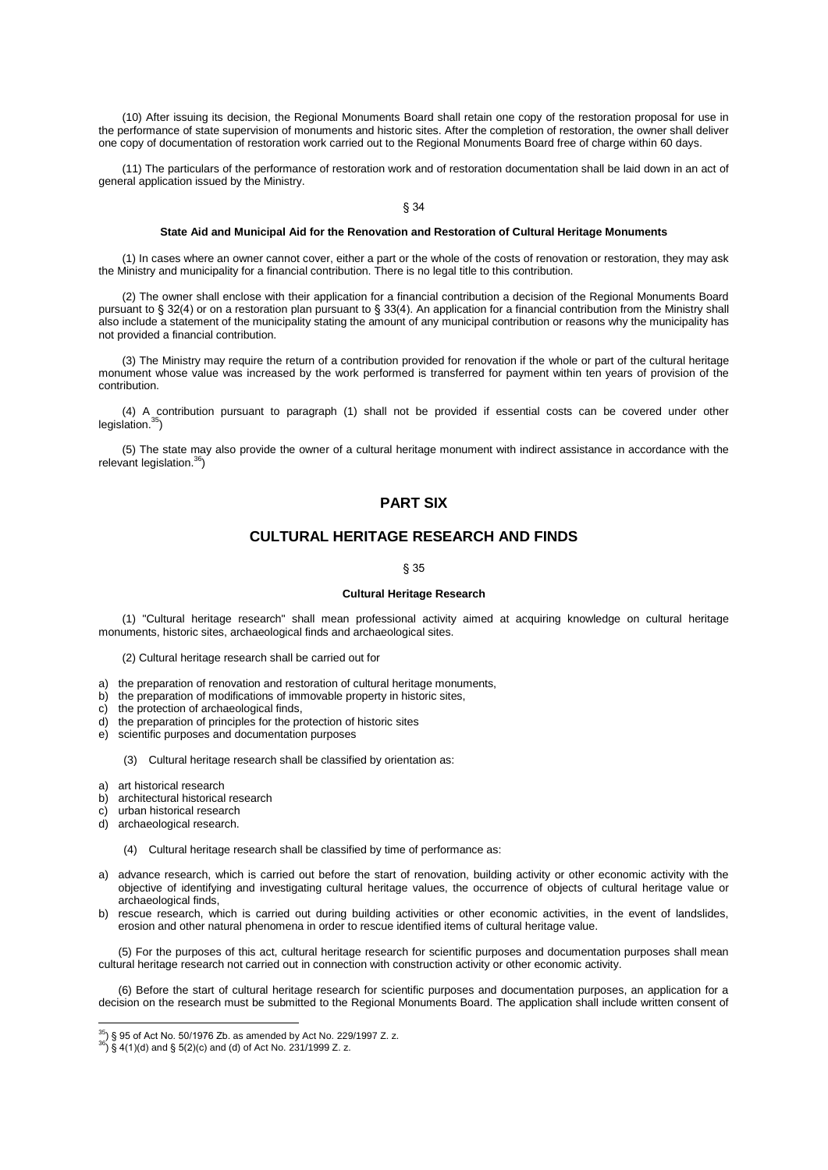(10) After issuing its decision, the Regional Monuments Board shall retain one copy of the restoration proposal for use in the performance of state supervision of monuments and historic sites. After the completion of restoration, the owner shall deliver one copy of documentation of restoration work carried out to the Regional Monuments Board free of charge within 60 days.

(11) The particulars of the performance of restoration work and of restoration documentation shall be laid down in an act of general application issued by the Ministry.

§ 34

#### **State Aid and Municipal Aid for the Renovation and Restoration of Cultural Heritage Monuments**

(1) In cases where an owner cannot cover, either a part or the whole of the costs of renovation or restoration, they may ask the Ministry and municipality for a financial contribution. There is no legal title to this contribution.

(2) The owner shall enclose with their application for a financial contribution a decision of the Regional Monuments Board pursuant to § 32(4) or on a restoration plan pursuant to § 33(4). An application for a financial contribution from the Ministry shall also include a statement of the municipality stating the amount of any municipal contribution or reasons why the municipality has not provided a financial contribution.

(3) The Ministry may require the return of a contribution provided for renovation if the whole or part of the cultural heritage monument whose value was increased by the work performed is transferred for payment within ten years of provision of the contribution.

(4) A contribution pursuant to paragraph (1) shall not be provided if essential costs can be covered under other legislation.<sup>35</sup>)

(5) The state may also provide the owner of a cultural heritage monument with indirect assistance in accordance with the relevant legislation.<sup>36</sup>)

# **PART SIX**

# **CULTURAL HERITAGE RESEARCH AND FINDS**

#### § 35

#### **Cultural Heritage Research**

(1) "Cultural heritage research" shall mean professional activity aimed at acquiring knowledge on cultural heritage monuments, historic sites, archaeological finds and archaeological sites.

- (2) Cultural heritage research shall be carried out for
- a) the preparation of renovation and restoration of cultural heritage monuments, b) the preparation of modifications of immovable property in historic sites,
- the preparation of modifications of immovable property in historic sites,
- c) the protection of archaeological finds,
- d) the preparation of principles for the protection of historic sites
- e) scientific purposes and documentation purposes
	- (3) Cultural heritage research shall be classified by orientation as:
- a) art historical research
- b) architectural historical research
- c) urban historical research
- d) archaeological research.

 $\overline{\phantom{a}}$ 

- (4) Cultural heritage research shall be classified by time of performance as:
- a) advance research, which is carried out before the start of renovation, building activity or other economic activity with the objective of identifying and investigating cultural heritage values, the occurrence of objects of cultural heritage value or archaeological finds,
- b) rescue research, which is carried out during building activities or other economic activities, in the event of landslides, erosion and other natural phenomena in order to rescue identified items of cultural heritage value.

(5) For the purposes of this act, cultural heritage research for scientific purposes and documentation purposes shall mean cultural heritage research not carried out in connection with construction activity or other economic activity.

(6) Before the start of cultural heritage research for scientific purposes and documentation purposes, an application for a decision on the research must be submitted to the Regional Monuments Board. The application shall include written consent of

 $^{35}$ ) § 95 of Act No. 50/1976 Zb. as amended by Act No. 229/1997 Z. z.

 $^{36}$ ) § 4(1)(d) and § 5(2)(c) and (d) of Act No. 231/1999 Z. z.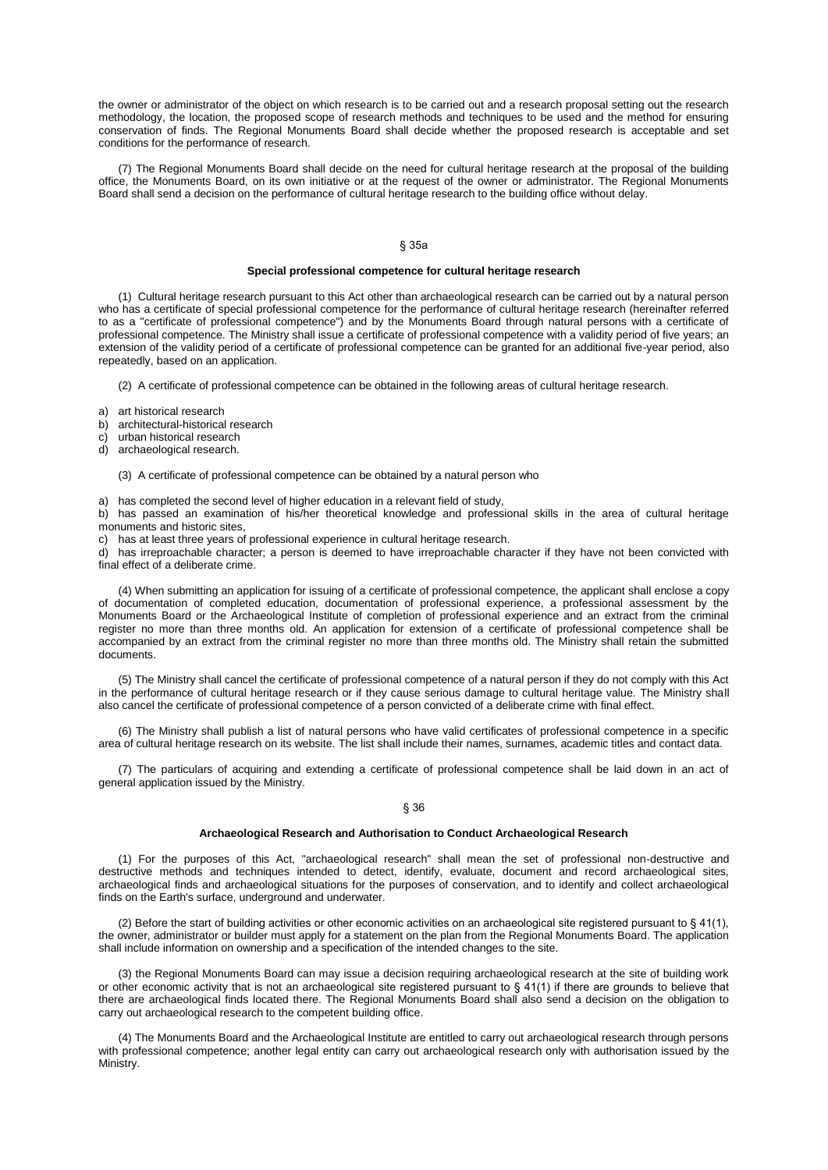the owner or administrator of the object on which research is to be carried out and a research proposal setting out the research methodology, the location, the proposed scope of research methods and techniques to be used and the method for ensuring conservation of finds. The Regional Monuments Board shall decide whether the proposed research is acceptable and set conditions for the performance of research.

(7) The Regional Monuments Board shall decide on the need for cultural heritage research at the proposal of the building office, the Monuments Board, on its own initiative or at the request of the owner or administrator. The Regional Monuments Board shall send a decision on the performance of cultural heritage research to the building office without delay.

## § 35a

#### **Special professional competence for cultural heritage research**

(1) Cultural heritage research pursuant to this Act other than archaeological research can be carried out by a natural person who has a certificate of special professional competence for the performance of cultural heritage research (hereinafter referred to as a "certificate of professional competence") and by the Monuments Board through natural persons with a certificate of professional competence. The Ministry shall issue a certificate of professional competence with a validity period of five years; an extension of the validity period of a certificate of professional competence can be granted for an additional five-year period, also repeatedly, based on an application.

(2) A certificate of professional competence can be obtained in the following areas of cultural heritage research.

- a) art historical research
- b) architectural-historical research
- c) urban historical research
- d) archaeological research.

(3) A certificate of professional competence can be obtained by a natural person who

a) has completed the second level of higher education in a relevant field of study,

b) has passed an examination of his/her theoretical knowledge and professional skills in the area of cultural heritage monuments and historic sites,

c) has at least three years of professional experience in cultural heritage research.

d) has irreproachable character; a person is deemed to have irreproachable character if they have not been convicted with final effect of a deliberate crime.

(4) When submitting an application for issuing of a certificate of professional competence, the applicant shall enclose a copy of documentation of completed education, documentation of professional experience, a professional assessment by the Monuments Board or the Archaeological Institute of completion of professional experience and an extract from the criminal register no more than three months old. An application for extension of a certificate of professional competence shall be accompanied by an extract from the criminal register no more than three months old. The Ministry shall retain the submitted documents.

(5) The Ministry shall cancel the certificate of professional competence of a natural person if they do not comply with this Act in the performance of cultural heritage research or if they cause serious damage to cultural heritage value. The Ministry shall also cancel the certificate of professional competence of a person convicted of a deliberate crime with final effect.

(6) The Ministry shall publish a list of natural persons who have valid certificates of professional competence in a specific area of cultural heritage research on its website. The list shall include their names, surnames, academic titles and contact data.

(7) The particulars of acquiring and extending a certificate of professional competence shall be laid down in an act of general application issued by the Ministry.

## § 36

#### **Archaeological Research and Authorisation to Conduct Archaeological Research**

(1) For the purposes of this Act, "archaeological research" shall mean the set of professional non-destructive and destructive methods and techniques intended to detect, identify, evaluate, document and record archaeological sites, archaeological finds and archaeological situations for the purposes of conservation, and to identify and collect archaeological finds on the Earth's surface, underground and underwater.

(2) Before the start of building activities or other economic activities on an archaeological site registered pursuant to  $\S 41(1)$ , the owner, administrator or builder must apply for a statement on the plan from the Regional Monuments Board. The application shall include information on ownership and a specification of the intended changes to the site.

(3) the Regional Monuments Board can may issue a decision requiring archaeological research at the site of building work or other economic activity that is not an archaeological site registered pursuant to § 41(1) if there are grounds to believe that there are archaeological finds located there. The Regional Monuments Board shall also send a decision on the obligation to carry out archaeological research to the competent building office.

(4) The Monuments Board and the Archaeological Institute are entitled to carry out archaeological research through persons with professional competence; another legal entity can carry out archaeological research only with authorisation issued by the Ministry.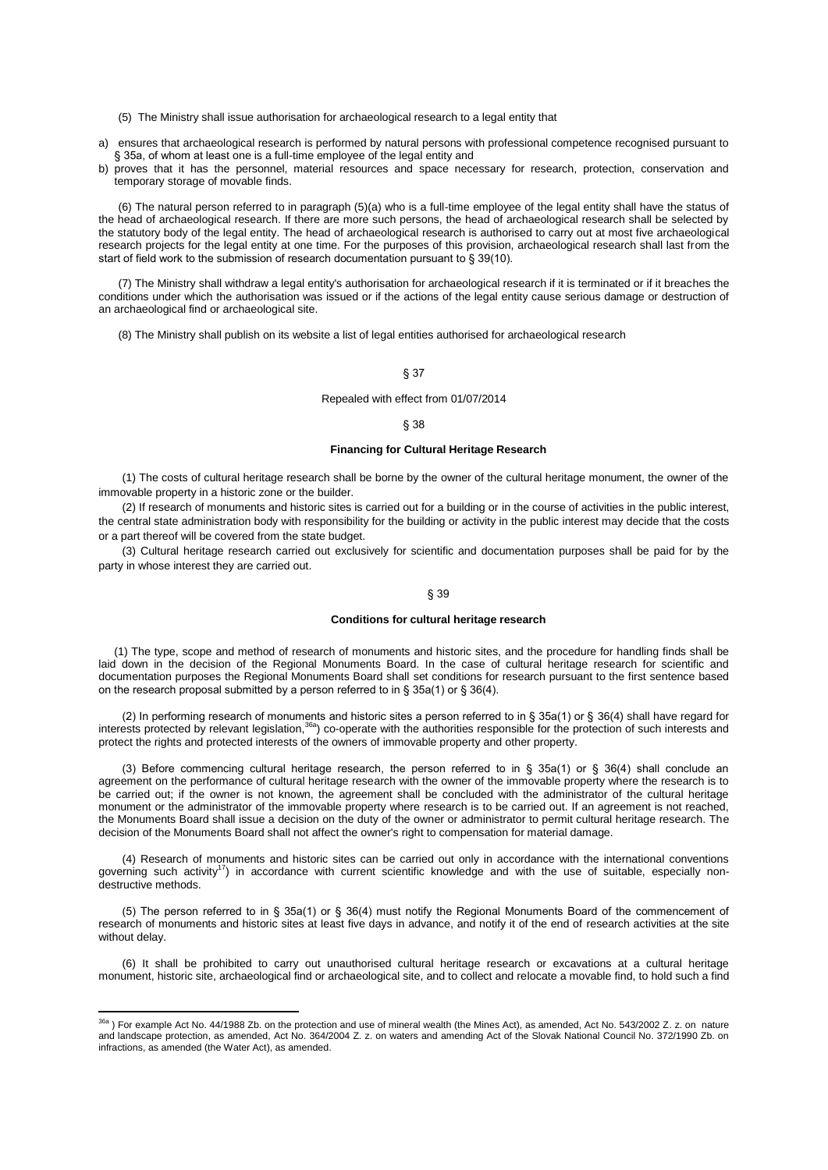- (5) The Ministry shall issue authorisation for archaeological research to a legal entity that
- a) ensures that archaeological research is performed by natural persons with professional competence recognised pursuant to § 35a, of whom at least one is a full-time employee of the legal entity and
- b) proves that it has the personnel, material resources and space necessary for research, protection, conservation and temporary storage of movable finds.

(6) The natural person referred to in paragraph (5)(a) who is a full-time employee of the legal entity shall have the status of the head of archaeological research. If there are more such persons, the head of archaeological research shall be selected by the statutory body of the legal entity. The head of archaeological research is authorised to carry out at most five archaeological research projects for the legal entity at one time. For the purposes of this provision, archaeological research shall last from the start of field work to the submission of research documentation pursuant to § 39(10).

(7) The Ministry shall withdraw a legal entity's authorisation for archaeological research if it is terminated or if it breaches the conditions under which the authorisation was issued or if the actions of the legal entity cause serious damage or destruction of an archaeological find or archaeological site.

(8) The Ministry shall publish on its website a list of legal entities authorised for archaeological research

### § 37

## Repealed with effect from 01/07/2014

## § 38

### **Financing for Cultural Heritage Research**

(1) The costs of cultural heritage research shall be borne by the owner of the cultural heritage monument, the owner of the immovable property in a historic zone or the builder.

(2) If research of monuments and historic sites is carried out for a building or in the course of activities in the public interest, the central state administration body with responsibility for the building or activity in the public interest may decide that the costs or a part thereof will be covered from the state budget.

(3) Cultural heritage research carried out exclusively for scientific and documentation purposes shall be paid for by the party in whose interest they are carried out.

### § 39

#### **Conditions for cultural heritage research**

 (1) The type, scope and method of research of monuments and historic sites, and the procedure for handling finds shall be laid down in the decision of the Regional Monuments Board. In the case of cultural heritage research for scientific and documentation purposes the Regional Monuments Board shall set conditions for research pursuant to the first sentence based on the research proposal submitted by a person referred to in § 35a(1) or § 36(4).

(2) In performing research of monuments and historic sites a person referred to in § 35a(1) or § 36(4) shall have regard for interests protected by relevant legislation, $36a$ ) co-operate with the authorities responsible for the protection of such interests and protect the rights and protected interests of the owners of immovable property and other property.

(3) Before commencing cultural heritage research, the person referred to in § 35a(1) or § 36(4) shall conclude an agreement on the performance of cultural heritage research with the owner of the immovable property where the research is to be carried out; if the owner is not known, the agreement shall be concluded with the administrator of the cultural heritage monument or the administrator of the immovable property where research is to be carried out. If an agreement is not reached, the Monuments Board shall issue a decision on the duty of the owner or administrator to permit cultural heritage research. The decision of the Monuments Board shall not affect the owner's right to compensation for material damage.

(4) Research of monuments and historic sites can be carried out only in accordance with the international conventions governing such activity<sup>17</sup>) in accordance with current scientific knowledge and with the use of suitable, especially nondestructive methods.

(5) The person referred to in § 35a(1) or § 36(4) must notify the Regional Monuments Board of the commencement of research of monuments and historic sites at least five days in advance, and notify it of the end of research activities at the site without delay.

(6) It shall be prohibited to carry out unauthorised cultural heritage research or excavations at a cultural heritage monument, historic site, archaeological find or archaeological site, and to collect and relocate a movable find, to hold such a find

 $\overline{a}$ 

<sup>&</sup>lt;sup>36a</sup>) For example Act No. 44/1988 Zb. on the protection and use of mineral wealth (the Mines Act), as amended, Act No. 543/2002 Z. z. on nature and landscape protection, as amended, Act No. 364/2004 Z. z. on waters and amending Act of the Slovak National Council No. 372/1990 Zb. on infractions, as amended (the Water Act), as amended.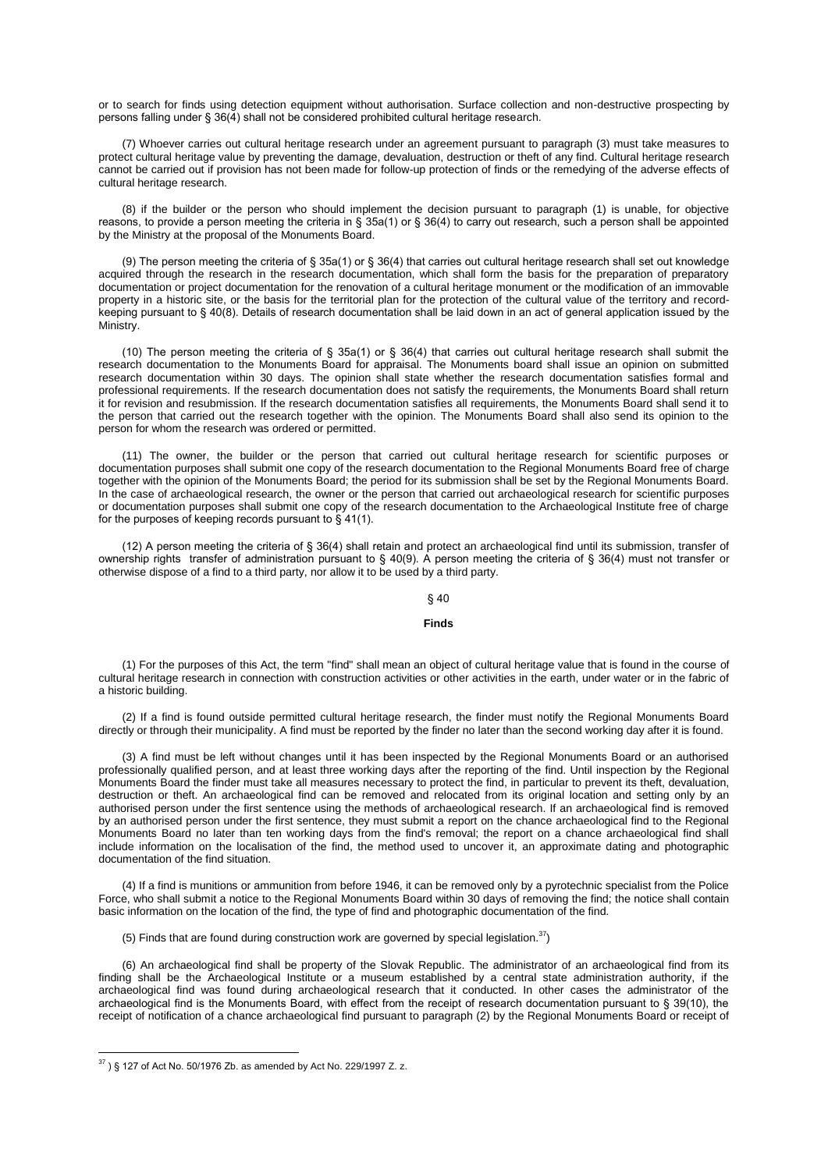or to search for finds using detection equipment without authorisation. Surface collection and non-destructive prospecting by persons falling under § 36(4) shall not be considered prohibited cultural heritage research.

(7) Whoever carries out cultural heritage research under an agreement pursuant to paragraph (3) must take measures to protect cultural heritage value by preventing the damage, devaluation, destruction or theft of any find. Cultural heritage research cannot be carried out if provision has not been made for follow-up protection of finds or the remedying of the adverse effects of cultural heritage research.

(8) if the builder or the person who should implement the decision pursuant to paragraph (1) is unable, for objective reasons, to provide a person meeting the criteria in § 35a(1) or § 36(4) to carry out research, such a person shall be appointed by the Ministry at the proposal of the Monuments Board.

(9) The person meeting the criteria of § 35a(1) or § 36(4) that carries out cultural heritage research shall set out knowledge acquired through the research in the research documentation, which shall form the basis for the preparation of preparatory documentation or project documentation for the renovation of a cultural heritage monument or the modification of an immovable property in a historic site, or the basis for the territorial plan for the protection of the cultural value of the territory and recordkeeping pursuant to § 40(8). Details of research documentation shall be laid down in an act of general application issued by the Ministry.

(10) The person meeting the criteria of § 35a(1) or § 36(4) that carries out cultural heritage research shall submit the research documentation to the Monuments Board for appraisal. The Monuments board shall issue an opinion on submitted research documentation within 30 days. The opinion shall state whether the research documentation satisfies formal and professional requirements. If the research documentation does not satisfy the requirements, the Monuments Board shall return it for revision and resubmission. If the research documentation satisfies all requirements, the Monuments Board shall send it to the person that carried out the research together with the opinion. The Monuments Board shall also send its opinion to the person for whom the research was ordered or permitted.

(11) The owner, the builder or the person that carried out cultural heritage research for scientific purposes or documentation purposes shall submit one copy of the research documentation to the Regional Monuments Board free of charge together with the opinion of the Monuments Board; the period for its submission shall be set by the Regional Monuments Board. In the case of archaeological research, the owner or the person that carried out archaeological research for scientific purposes or documentation purposes shall submit one copy of the research documentation to the Archaeological Institute free of charge for the purposes of keeping records pursuant to § 41(1).

(12) A person meeting the criteria of § 36(4) shall retain and protect an archaeological find until its submission, transfer of ownership rights transfer of administration pursuant to § 40(9). A person meeting the criteria of § 36(4) must not transfer or otherwise dispose of a find to a third party, nor allow it to be used by a third party.

## § 40

#### **Finds**

(1) For the purposes of this Act, the term "find" shall mean an object of cultural heritage value that is found in the course of cultural heritage research in connection with construction activities or other activities in the earth, under water or in the fabric of a historic building.

(2) If a find is found outside permitted cultural heritage research, the finder must notify the Regional Monuments Board directly or through their municipality. A find must be reported by the finder no later than the second working day after it is found.

(3) A find must be left without changes until it has been inspected by the Regional Monuments Board or an authorised professionally qualified person, and at least three working days after the reporting of the find. Until inspection by the Regional Monuments Board the finder must take all measures necessary to protect the find, in particular to prevent its theft, devaluation, destruction or theft. An archaeological find can be removed and relocated from its original location and setting only by an authorised person under the first sentence using the methods of archaeological research. If an archaeological find is removed by an authorised person under the first sentence, they must submit a report on the chance archaeological find to the Regional Monuments Board no later than ten working days from the find's removal; the report on a chance archaeological find shall include information on the localisation of the find, the method used to uncover it, an approximate dating and photographic documentation of the find situation.

(4) If a find is munitions or ammunition from before 1946, it can be removed only by a pyrotechnic specialist from the Police Force, who shall submit a notice to the Regional Monuments Board within 30 days of removing the find; the notice shall contain basic information on the location of the find, the type of find and photographic documentation of the find.

(5) Finds that are found during construction work are governed by special legislation.  $37$ 

(6) An archaeological find shall be property of the Slovak Republic. The administrator of an archaeological find from its finding shall be the Archaeological Institute or a museum established by a central state administration authority, if the archaeological find was found during archaeological research that it conducted. In other cases the administrator of the archaeological find is the Monuments Board, with effect from the receipt of research documentation pursuant to § 39(10), the receipt of notification of a chance archaeological find pursuant to paragraph (2) by the Regional Monuments Board or receipt of

 $^{37}$ ) § 127 of Act No. 50/1976 Zb. as amended by Act No. 229/1997 Z. z.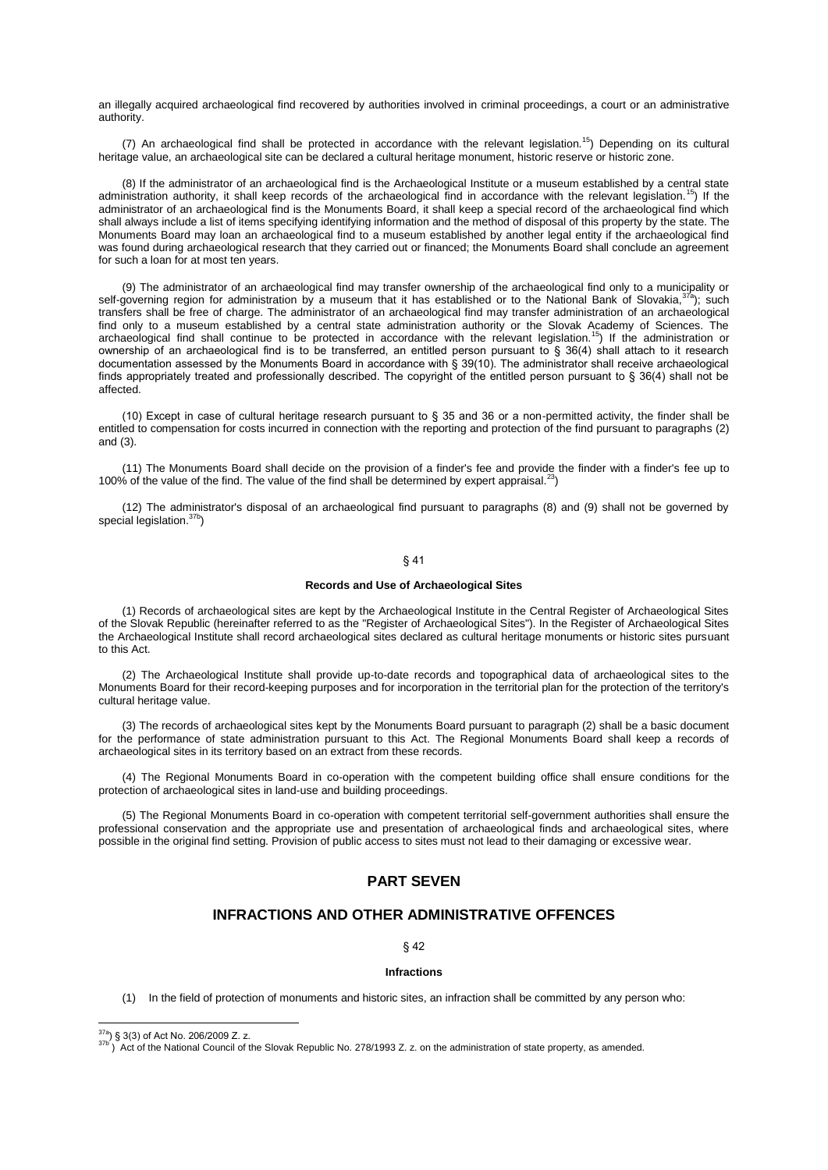an illegally acquired archaeological find recovered by authorities involved in criminal proceedings, a court or an administrative authority.

(7) An archaeological find shall be protected in accordance with the relevant legislation.<sup>15</sup>) Depending on its cultural heritage value, an archaeological site can be declared a cultural heritage monument, historic reserve or historic zone.

(8) If the administrator of an archaeological find is the Archaeological Institute or a museum established by a central state administration authority, it shall keep records of the archaeological find in accordance with the relevant legislation.<sup>15</sup>) If the administrator of an archaeological find is the Monuments Board, it shall keep a special record of the archaeological find which shall always include a list of items specifying identifying information and the method of disposal of this property by the state. The Monuments Board may loan an archaeological find to a museum established by another legal entity if the archaeological find was found during archaeological research that they carried out or financed; the Monuments Board shall conclude an agreement for such a loan for at most ten years.

(9) The administrator of an archaeological find may transfer ownership of the archaeological find only to a municipality or self-governing region for administration by a museum that it has established or to the National Bank of Slovakia,  $37a$ ); such transfers shall be free of charge. The administrator of an archaeological find may transfer administration of an archaeological find only to a museum established by a central state administration authority or the Slovak Academy of Sciences. The archaeological find shall continue to be protected in accordance with the relevant legislation.<sup>15</sup>) If the administration or ownership of an archaeological find is to be transferred, an entitled person pursuant to § 36(4) shall attach to it research documentation assessed by the Monuments Board in accordance with § 39(10). The administrator shall receive archaeological finds appropriately treated and professionally described. The copyright of the entitled person pursuant to § 36(4) shall not be affected.

(10) Except in case of cultural heritage research pursuant to § 35 and 36 or a non-permitted activity, the finder shall be entitled to compensation for costs incurred in connection with the reporting and protection of the find pursuant to paragraphs (2) and (3).

(11) The Monuments Board shall decide on the provision of a finder's fee and provide the finder with a finder's fee up to 100% of the value of the find. The value of the find shall be determined by expert appraisal.<sup>23</sup>)

(12) The administrator's disposal of an archaeological find pursuant to paragraphs (8) and (9) shall not be governed by special legislation.<sup>37b</sup>)

# § 41

### **Records and Use of Archaeological Sites**

(1) Records of archaeological sites are kept by the Archaeological Institute in the Central Register of Archaeological Sites of the Slovak Republic (hereinafter referred to as the "Register of Archaeological Sites"). In the Register of Archaeological Sites the Archaeological Institute shall record archaeological sites declared as cultural heritage monuments or historic sites pursuant to this Act.

(2) The Archaeological Institute shall provide up-to-date records and topographical data of archaeological sites to the Monuments Board for their record-keeping purposes and for incorporation in the territorial plan for the protection of the territory's cultural heritage value.

(3) The records of archaeological sites kept by the Monuments Board pursuant to paragraph (2) shall be a basic document for the performance of state administration pursuant to this Act. The Regional Monuments Board shall keep a records of archaeological sites in its territory based on an extract from these records.

(4) The Regional Monuments Board in co-operation with the competent building office shall ensure conditions for the protection of archaeological sites in land-use and building proceedings.

(5) The Regional Monuments Board in co-operation with competent territorial self-government authorities shall ensure the professional conservation and the appropriate use and presentation of archaeological finds and archaeological sites, where possible in the original find setting. Provision of public access to sites must not lead to their damaging or excessive wear.

# **PART SEVEN**

# **INFRACTIONS AND OTHER ADMINISTRATIVE OFFENCES**

§ 42

## **Infractions**

(1) In the field of protection of monuments and historic sites, an infraction shall be committed by any person who:

 $\overline{\phantom{a}}$ 

 $37b$ ) Act of the National Council of the Slovak Republic No. 278/1993 Z. z. on the administration of state property, as amended.

 $^{37a}$ ) § 3(3) of Act No. 206/2009 Z. z.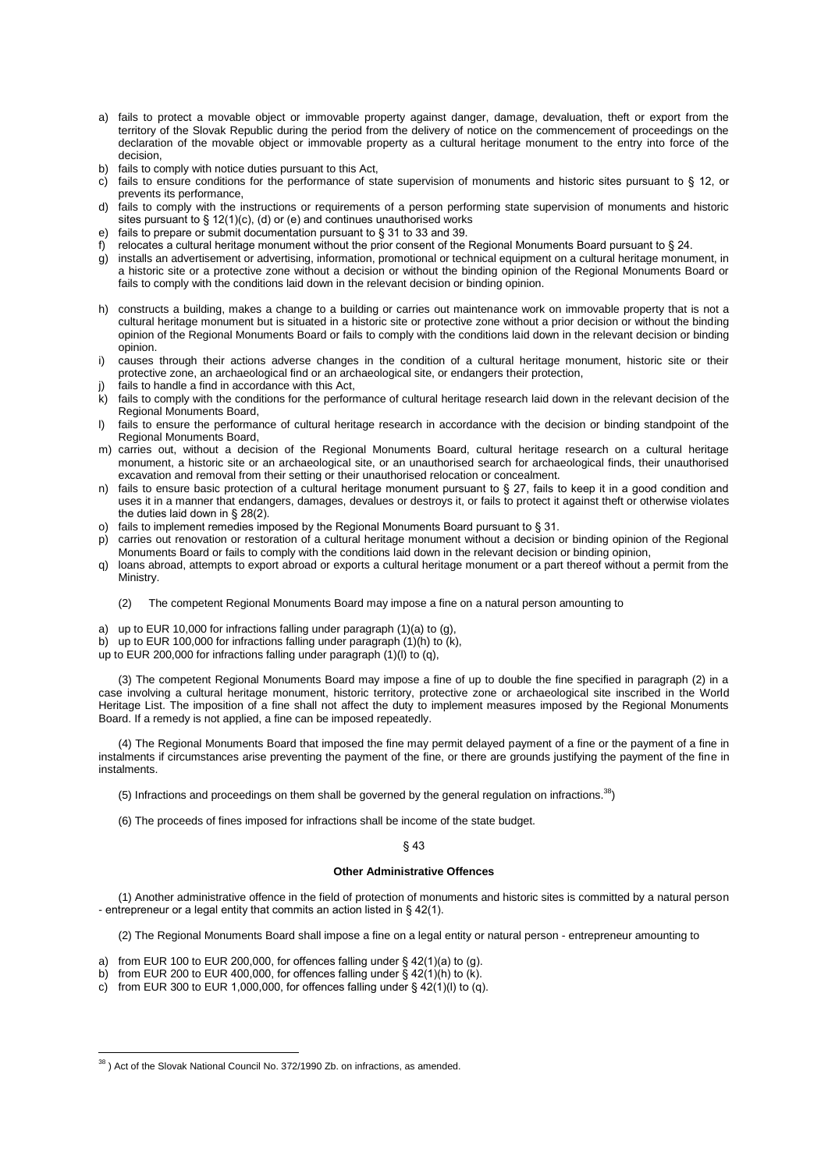- a) fails to protect a movable object or immovable property against danger, damage, devaluation, theft or export from the territory of the Slovak Republic during the period from the delivery of notice on the commencement of proceedings on the declaration of the movable object or immovable property as a cultural heritage monument to the entry into force of the decision,
- b) fails to comply with notice duties pursuant to this Act,
- c) fails to ensure conditions for the performance of state supervision of monuments and historic sites pursuant to § 12, or prevents its performance,
- d) fails to comply with the instructions or requirements of a person performing state supervision of monuments and historic sites pursuant to  $\S 12(1)(c)$ , (d) or (e) and continues unauthorised works
- e) fails to prepare or submit documentation pursuant to § 31 to 33 and 39.
- f) relocates a cultural heritage monument without the prior consent of the Regional Monuments Board pursuant to § 24.
- g) installs an advertisement or advertising, information, promotional or technical equipment on a cultural heritage monument, in a historic site or a protective zone without a decision or without the binding opinion of the Regional Monuments Board or fails to comply with the conditions laid down in the relevant decision or binding opinion.
- h) constructs a building, makes a change to a building or carries out maintenance work on immovable property that is not a cultural heritage monument but is situated in a historic site or protective zone without a prior decision or without the binding opinion of the Regional Monuments Board or fails to comply with the conditions laid down in the relevant decision or binding opinion.
- i) causes through their actions adverse changes in the condition of a cultural heritage monument, historic site or their protective zone, an archaeological find or an archaeological site, or endangers their protection,
- fails to handle a find in accordance with this Act,
- k) fails to comply with the conditions for the performance of cultural heritage research laid down in the relevant decision of the Regional Monuments Board,
- l) fails to ensure the performance of cultural heritage research in accordance with the decision or binding standpoint of the Regional Monuments Board,
- m) carries out, without a decision of the Regional Monuments Board, cultural heritage research on a cultural heritage monument, a historic site or an archaeological site, or an unauthorised search for archaeological finds, their unauthorised excavation and removal from their setting or their unauthorised relocation or concealment.
- n) fails to ensure basic protection of a cultural heritage monument pursuant to  $\S 27$ , fails to keep it in a good condition and uses it in a manner that endangers, damages, devalues or destroys it, or fails to protect it against theft or otherwise violates the duties laid down in § 28(2).
- o) fails to implement remedies imposed by the Regional Monuments Board pursuant to § 31.
- p) carries out renovation or restoration of a cultural heritage monument without a decision or binding opinion of the Regional Monuments Board or fails to comply with the conditions laid down in the relevant decision or binding opinion,
- q) loans abroad, attempts to export abroad or exports a cultural heritage monument or a part thereof without a permit from the Ministry.
	- (2) The competent Regional Monuments Board may impose a fine on a natural person amounting to
- a) up to EUR 10,000 for infractions falling under paragraph (1)(a) to (g),
- b) up to EUR 100,000 for infractions falling under paragraph (1)(h) to (k),
- up to EUR 200,000 for infractions falling under paragraph (1)(l) to (q),

(3) The competent Regional Monuments Board may impose a fine of up to double the fine specified in paragraph (2) in a case involving a cultural heritage monument, historic territory, protective zone or archaeological site inscribed in the World Heritage List. The imposition of a fine shall not affect the duty to implement measures imposed by the Regional Monuments Board. If a remedy is not applied, a fine can be imposed repeatedly.

(4) The Regional Monuments Board that imposed the fine may permit delayed payment of a fine or the payment of a fine in instalments if circumstances arise preventing the payment of the fine, or there are grounds justifying the payment of the fine in instalments.

- (5) Infractions and proceedings on them shall be governed by the general regulation on infractions.  $38$
- (6) The proceeds of fines imposed for infractions shall be income of the state budget.

#### § 43

## **Other Administrative Offences**

(1) Another administrative offence in the field of protection of monuments and historic sites is committed by a natural person - entrepreneur or a legal entity that commits an action listed in § 42(1).

(2) The Regional Monuments Board shall impose a fine on a legal entity or natural person - entrepreneur amounting to

- a) from EUR 100 to EUR 200,000, for offences falling under § 42(1)(a) to (g).
- b) from EUR 200 to EUR 400,000, for offences falling under § 42(1)(h) to (k).
- c) from EUR 300 to EUR 1,000,000, for offences falling under §  $\frac{42(1)(1)}{10}$  to (q).

 $\overline{\phantom{a}}$  $38$ ) Act of the Slovak National Council No. 372/1990 Zb. on infractions, as amended.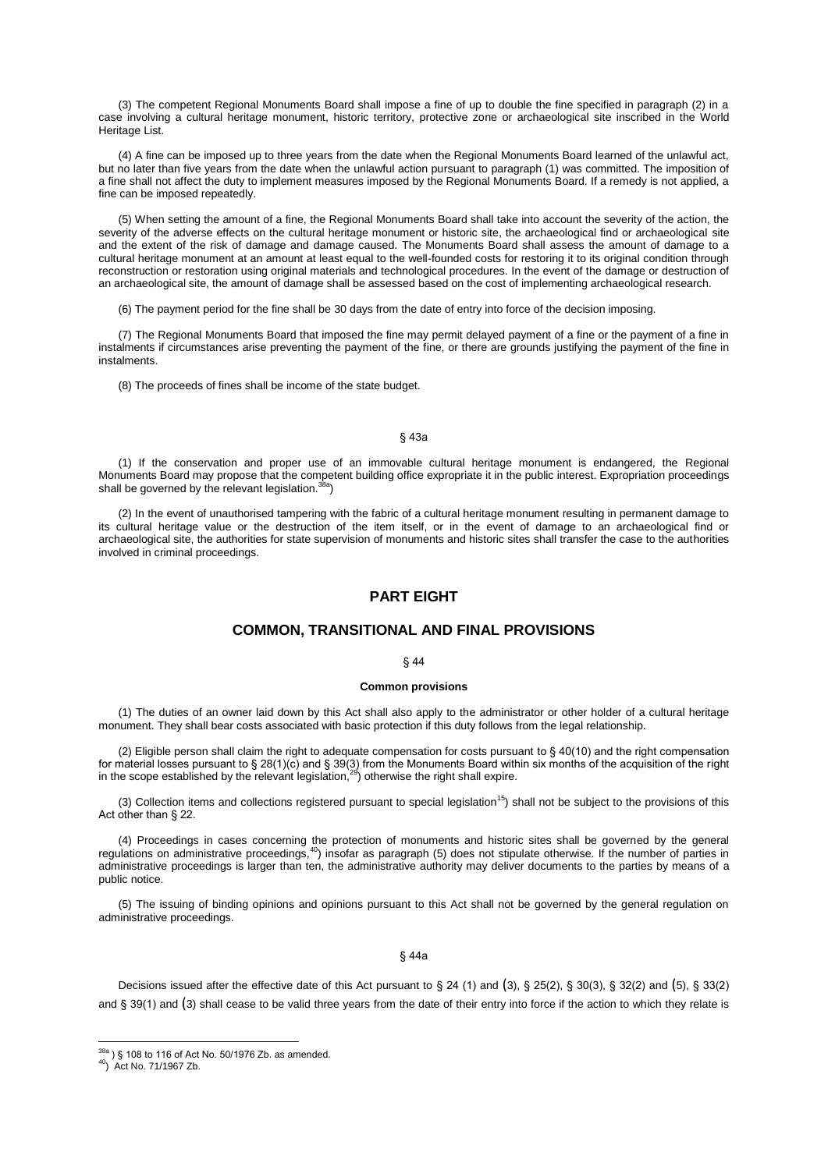(3) The competent Regional Monuments Board shall impose a fine of up to double the fine specified in paragraph (2) in a case involving a cultural heritage monument, historic territory, protective zone or archaeological site inscribed in the World Heritage List.

(4) A fine can be imposed up to three years from the date when the Regional Monuments Board learned of the unlawful act, but no later than five years from the date when the unlawful action pursuant to paragraph (1) was committed. The imposition of a fine shall not affect the duty to implement measures imposed by the Regional Monuments Board. If a remedy is not applied, a fine can be imposed repeatedly.

(5) When setting the amount of a fine, the Regional Monuments Board shall take into account the severity of the action, the severity of the adverse effects on the cultural heritage monument or historic site, the archaeological find or archaeological site and the extent of the risk of damage and damage caused. The Monuments Board shall assess the amount of damage to a cultural heritage monument at an amount at least equal to the well-founded costs for restoring it to its original condition through reconstruction or restoration using original materials and technological procedures. In the event of the damage or destruction of an archaeological site, the amount of damage shall be assessed based on the cost of implementing archaeological research.

(6) The payment period for the fine shall be 30 days from the date of entry into force of the decision imposing.

(7) The Regional Monuments Board that imposed the fine may permit delayed payment of a fine or the payment of a fine in instalments if circumstances arise preventing the payment of the fine, or there are grounds justifying the payment of the fine in instalments.

(8) The proceeds of fines shall be income of the state budget.

## § 43a

(1) If the conservation and proper use of an immovable cultural heritage monument is endangered, the Regional Monuments Board may propose that the competent building office expropriate it in the public interest. Expropriation proceedings shall be governed by the relevant legislation.<sup>38a</sup>)

(2) In the event of unauthorised tampering with the fabric of a cultural heritage monument resulting in permanent damage to its cultural heritage value or the destruction of the item itself, or in the event of damage to an archaeological find or archaeological site, the authorities for state supervision of monuments and historic sites shall transfer the case to the authorities involved in criminal proceedings.

## **PART EIGHT**

## **COMMON, TRANSITIONAL AND FINAL PROVISIONS**

## § 44

#### **Common provisions**

(1) The duties of an owner laid down by this Act shall also apply to the administrator or other holder of a cultural heritage monument. They shall bear costs associated with basic protection if this duty follows from the legal relationship.

(2) Eligible person shall claim the right to adequate compensation for costs pursuant to  $\S$  40(10) and the right compensation for material losses pursuant to § 28(1)(c) and § 39(3) from the Monuments Board within six months of the acquisition of the right<br>in the scope established by the relevant legislation,<sup>29</sup>) otherwise the right shall expire.

(3) Collection items and collections registered pursuant to special legislation<sup>15</sup>) shall not be subject to the provisions of this Act other than § 22.

(4) Proceedings in cases concerning the protection of monuments and historic sites shall be governed by the general regulations on administrative proceedings,<sup>40</sup>) insofar as paragraph (5) does not stipulate otherwise. If the number of parties in administrative proceedings is larger than ten, the administrative authority may deliver documents to the parties by means of a public notice.

(5) The issuing of binding opinions and opinions pursuant to this Act shall not be governed by the general regulation on administrative proceedings.

#### § 44a

Decisions issued after the effective date of this Act pursuant to  $\S 24$  (1) and (3),  $\S 25(2)$ ,  $\S 30(3)$ ,  $\S 32(2)$  and (5),  $\S 33(2)$ and § 39(1) and (3) shall cease to be valid three years from the date of their entry into force if the action to which they relate is

 $38a$ ) § 108 to 116 of Act No. 50/1976 Zb. as amended.

<sup>40</sup>) Act No. 71/1967 Zb.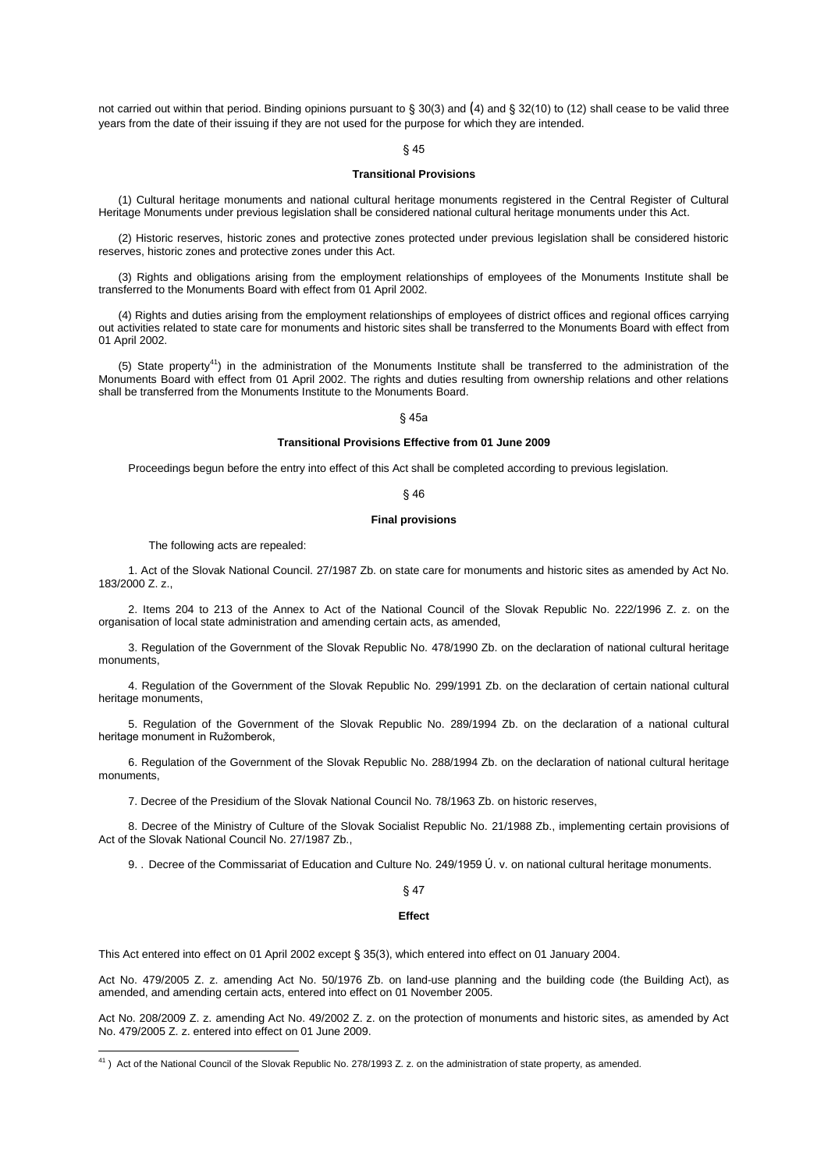not carried out within that period. Binding opinions pursuant to § 30(3) and (4) and § 32(10) to (12) shall cease to be valid three years from the date of their issuing if they are not used for the purpose for which they are intended.

## § 45

## **Transitional Provisions**

(1) Cultural heritage monuments and national cultural heritage monuments registered in the Central Register of Cultural Heritage Monuments under previous legislation shall be considered national cultural heritage monuments under this Act.

(2) Historic reserves, historic zones and protective zones protected under previous legislation shall be considered historic reserves, historic zones and protective zones under this Act.

(3) Rights and obligations arising from the employment relationships of employees of the Monuments Institute shall be transferred to the Monuments Board with effect from 01 April 2002.

(4) Rights and duties arising from the employment relationships of employees of district offices and regional offices carrying out activities related to state care for monuments and historic sites shall be transferred to the Monuments Board with effect from 01 April 2002.

(5) State property<sup>41</sup>) in the administration of the Monuments Institute shall be transferred to the administration of the Monuments Board with effect from 01 April 2002. The rights and duties resulting from ownership relations and other relations shall be transferred from the Monuments Institute to the Monuments Board.

## § 45a

#### **Transitional Provisions Effective from 01 June 2009**

Proceedings begun before the entry into effect of this Act shall be completed according to previous legislation.

## § 46

#### **Final provisions**

The following acts are repealed:

 $\overline{\phantom{a}}$ 

1. Act of the Slovak National Council. 27/1987 Zb. on state care for monuments and historic sites as amended by Act No. 183/2000 Z. z.,

2. Items 204 to 213 of the Annex to Act of the National Council of the Slovak Republic No. 222/1996 Z. z. on the organisation of local state administration and amending certain acts, as amended,

3. Regulation of the Government of the Slovak Republic No. 478/1990 Zb. on the declaration of national cultural heritage monuments,

4. Regulation of the Government of the Slovak Republic No. 299/1991 Zb. on the declaration of certain national cultural heritage monuments,

5. Regulation of the Government of the Slovak Republic No. 289/1994 Zb. on the declaration of a national cultural heritage monument in Ružomberok,

6. Regulation of the Government of the Slovak Republic No. 288/1994 Zb. on the declaration of national cultural heritage monuments,

7. Decree of the Presidium of the Slovak National Council No. 78/1963 Zb. on historic reserves,

8. Decree of the Ministry of Culture of the Slovak Socialist Republic No. 21/1988 Zb., implementing certain provisions of Act of the Slovak National Council No. 27/1987 Zb.,

9. . Decree of the Commissariat of Education and Culture No. 249/1959 Ú. v. on national cultural heritage monuments.

§ 47

#### **Effect**

This Act entered into effect on 01 April 2002 except § 35(3), which entered into effect on 01 January 2004.

Act No. 479/2005 Z. z. amending Act No. 50/1976 Zb. on land-use planning and the building code (the Building Act), as amended, and amending certain acts, entered into effect on 01 November 2005.

Act No. 208/2009 Z. z. amending Act No. 49/2002 Z. z. on the protection of monuments and historic sites, as amended by Act No. 479/2005 Z. z. entered into effect on 01 June 2009.

 $41$ ) Act of the National Council of the Slovak Republic No. 278/1993 Z. z. on the administration of state property, as amended.